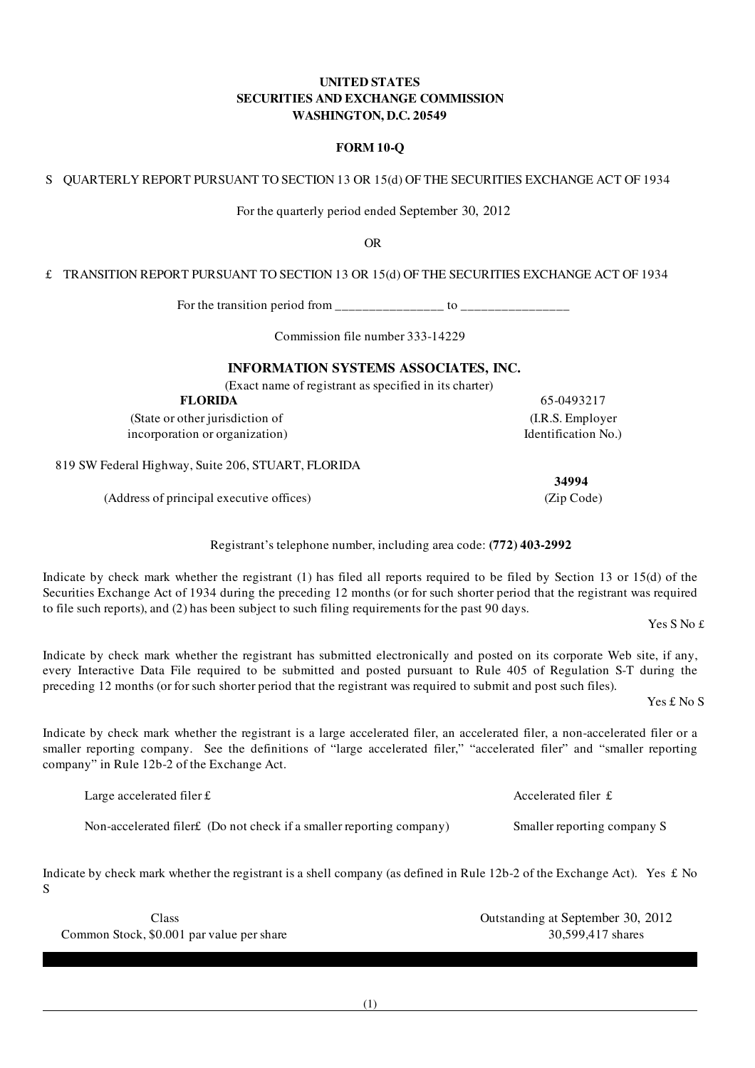## UNITED STATES SECURITIES AND EXCHANGE COMMISSION WASHINGTON, D.C. 20549

## FORM 10-Q

S QUARTERLY REPORT PURSUANT TO SECTION 13 OR 15(d) OF THE SECURITIES EXCHANGE ACT OF 1934

For the quarterly period ended September 30, 2012

OR

£ TRANSITION REPORT PURSUANT TO SECTION 13 OR 15(d) OF THE SECURITIES EXCHANGE ACT OF 1934

For the transition period from \_\_\_\_\_\_\_\_\_\_\_\_\_\_\_\_ to \_\_\_\_\_\_\_\_\_\_\_\_\_\_\_\_

Commission file number 333-14229

## INFORMATION SYSTEMS ASSOCIATES, INC.

(Exact name of registrant as specified in its charter)

FLORIDA 65-0493217

(State or other jurisdiction of (I.R.S. Employer incorporation or organization) Identification No.)

819 SW Federal Highway, Suite 206, STUART, FLORIDA

(Address of principal executive offices) (Zip Code)

Registrant's telephone number, including area code: (772) 403-2992

Indicate by check mark whether the registrant (1) has filed all reports required to be filed by Section 13 or 15(d) of the Securities Exchange Act of 1934 during the preceding 12 months (or for such shorter period that the registrant was required to file such reports), and (2) has been subject to such filing requirements for the past 90 days.

Yes S No £

Indicate by check mark whether the registrant has submitted electronically and posted on its corporate Web site, if any, every Interactive Data File required to be submitted and posted pursuant to Rule 405 of Regulation S-T during the preceding 12 months (or for such shorter period that the registrant was required to submit and post such files).

Yes £ No S

Indicate by check mark whether the registrant is a large accelerated filer, an accelerated filer, a non-accelerated filer or a smaller reporting company. See the definitions of "large accelerated filer," "accelerated filer" and "smaller reporting company" in Rule 12b-2 of the Exchange Act.

Large accelerated filer £ Accelerated filer  $\mathbf f$ Non-accelerated filer£ (Do not check if a smaller reporting company) Smaller reporting company S

Indicate by check mark whether the registrant is a shell company (as defined in Rule 12b-2 of the Exchange Act). Yes  $\pounds$  No S

Class Outstanding at September 30, 2012 Common Stock, \$0.001 par value per share 30,599,417 shares

34994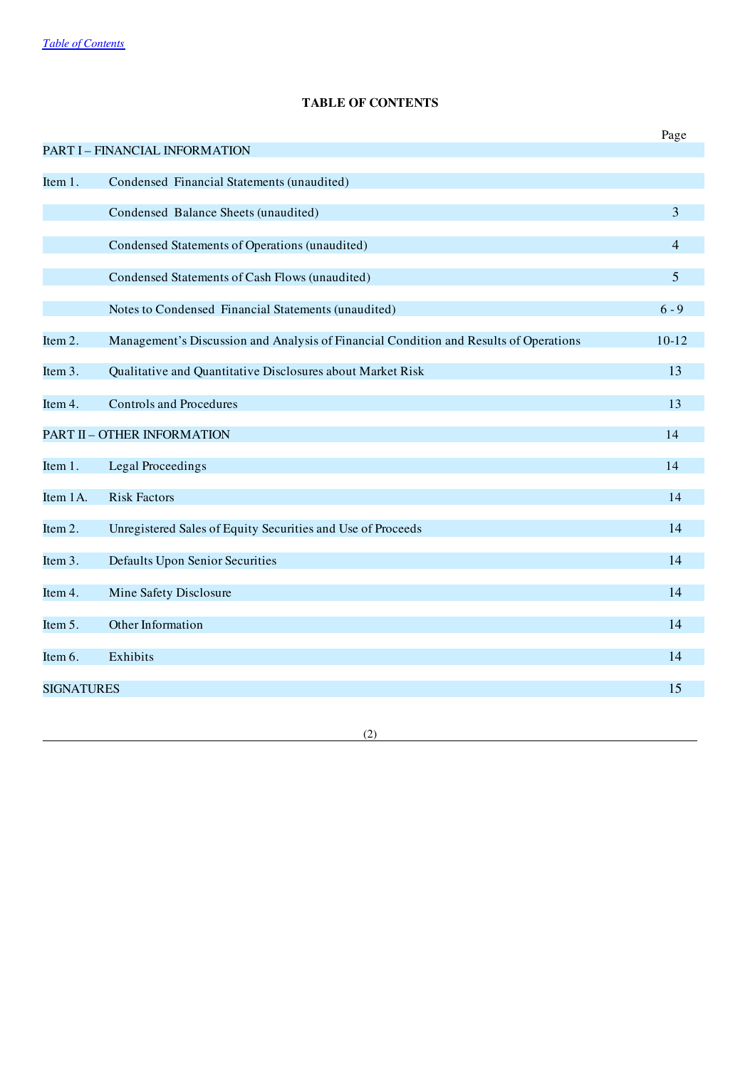# TABLE OF CONTENTS

<span id="page-1-0"></span>

|                   |                                                                                       | Page           |
|-------------------|---------------------------------------------------------------------------------------|----------------|
|                   | PART I - FINANCIAL INFORMATION                                                        |                |
|                   |                                                                                       |                |
| Item 1.           | Condensed Financial Statements (unaudited)                                            |                |
|                   | Condensed Balance Sheets (unaudited)                                                  | 3              |
|                   |                                                                                       |                |
|                   | Condensed Statements of Operations (unaudited)                                        | $\overline{4}$ |
|                   | Condensed Statements of Cash Flows (unaudited)                                        | $\overline{5}$ |
|                   |                                                                                       |                |
|                   | Notes to Condensed Financial Statements (unaudited)                                   | $6 - 9$        |
|                   |                                                                                       |                |
| Item 2.           | Management's Discussion and Analysis of Financial Condition and Results of Operations | $10 - 12$      |
| Item 3.           | Qualitative and Quantitative Disclosures about Market Risk                            | 13             |
|                   |                                                                                       |                |
| Item 4.           | <b>Controls and Procedures</b>                                                        | 13             |
|                   | <b>PART II - OTHER INFORMATION</b>                                                    | 14             |
|                   |                                                                                       |                |
| Item 1.           | Legal Proceedings                                                                     | 14             |
|                   |                                                                                       |                |
| Item 1A.          | <b>Risk Factors</b>                                                                   | 14             |
| Item 2.           | Unregistered Sales of Equity Securities and Use of Proceeds                           | 14             |
|                   |                                                                                       |                |
| Item 3.           | <b>Defaults Upon Senior Securities</b>                                                | 14             |
|                   |                                                                                       |                |
| Item 4.           | Mine Safety Disclosure                                                                | 14             |
| Item 5.           | Other Information                                                                     | 14             |
|                   |                                                                                       |                |
| Item 6.           | Exhibits                                                                              | 14             |
|                   |                                                                                       |                |
| <b>SIGNATURES</b> |                                                                                       | 15             |
|                   |                                                                                       |                |

(2)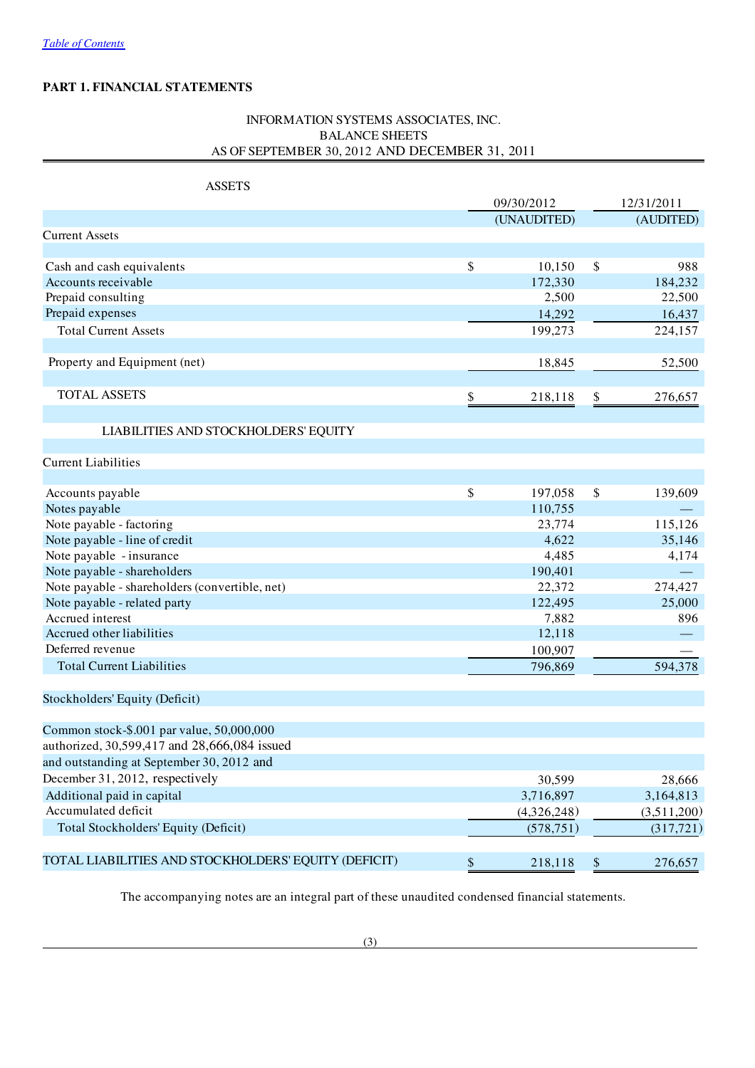# PART 1. FINANCIAL STATEMENTS

# INFORMATION SYSTEMS ASSOCIATES, INC. BALANCE SHEETS AS OF SEPTEMBER 30, 2012 AND DECEMBER 31, 2011

| <b>ASSETS</b>                                        |               |               |
|------------------------------------------------------|---------------|---------------|
|                                                      | 09/30/2012    | 12/31/2011    |
|                                                      | (UNAUDITED)   | (AUDITED)     |
| <b>Current Assets</b>                                |               |               |
|                                                      |               |               |
| Cash and cash equivalents                            | \$<br>10,150  | \$<br>988     |
| Accounts receivable                                  | 172,330       | 184,232       |
| Prepaid consulting                                   | 2,500         | 22,500        |
| Prepaid expenses                                     | 14,292        | 16,437        |
| <b>Total Current Assets</b>                          | 199,273       | 224,157       |
| Property and Equipment (net)                         | 18,845        | 52,500        |
|                                                      |               |               |
| <b>TOTAL ASSETS</b>                                  | \$<br>218,118 | \$<br>276,657 |
| LIABILITIES AND STOCKHOLDERS' EQUITY                 |               |               |
|                                                      |               |               |
| <b>Current Liabilities</b>                           |               |               |
| Accounts payable                                     | \$<br>197,058 | \$<br>139,609 |
| Notes payable                                        | 110,755       |               |
| Note payable - factoring                             | 23,774        | 115,126       |
| Note payable - line of credit                        | 4,622         | 35,146        |
| Note payable - insurance                             | 4,485         | 4,174         |
| Note payable - shareholders                          | 190,401       |               |
| Note payable - shareholders (convertible, net)       | 22,372        | 274,427       |
| Note payable - related party                         | 122,495       | 25,000        |
| Accrued interest                                     | 7,882         | 896           |
| Accrued other liabilities                            | 12,118        |               |
| Deferred revenue                                     | 100,907       |               |
| <b>Total Current Liabilities</b>                     | 796,869       | 594,378       |
| Stockholders' Equity (Deficit)                       |               |               |
| Common stock-\$.001 par value, 50,000,000            |               |               |
| authorized, 30,599,417 and 28,666,084 issued         |               |               |
| and outstanding at September 30, 2012 and            |               |               |
| December 31, 2012, respectively                      | 30,599        | 28,666        |
| Additional paid in capital                           | 3,716,897     | 3,164,813     |
| Accumulated deficit                                  | (4,326,248)   | (3,511,200)   |
| Total Stockholders' Equity (Deficit)                 | (578, 751)    | (317,721)     |
| TOTAL LIABILITIES AND STOCKHOLDERS' EQUITY (DEFICIT) | \$<br>218,118 | 276,657       |
|                                                      |               | \$            |

The accompanying notes are an integral part of these unaudited condensed financial statements.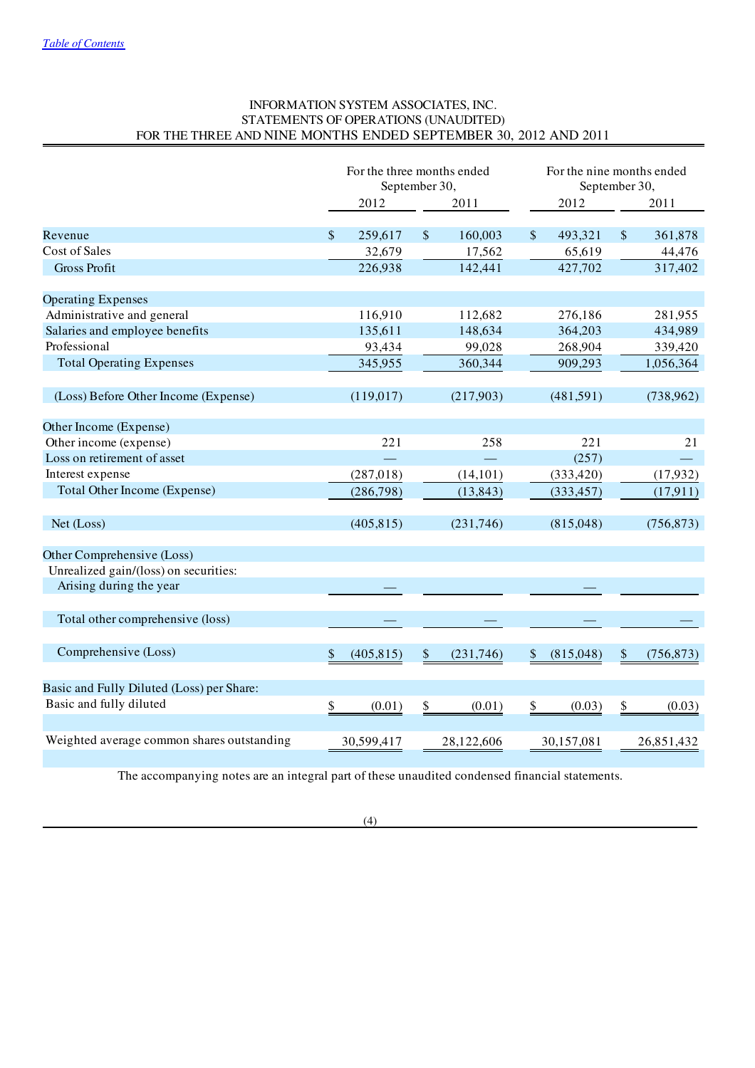# INFORMATION SYSTEM ASSOCIATES, INC. STATEMENTS OF OPERATIONS (UNAUDITED) FOR THE THREE AND NINE MONTHS ENDED SEPTEMBER 30, 2012 AND 2011

|                                            | For the three months ended<br>September 30, |            |               | For the nine months ended<br>September 30, |                 |    |            |
|--------------------------------------------|---------------------------------------------|------------|---------------|--------------------------------------------|-----------------|----|------------|
|                                            |                                             | 2012       |               | 2011                                       | 2012            |    | 2011       |
|                                            |                                             |            |               |                                            |                 |    |            |
| Revenue                                    | $\mathbb{S}$                                | 259,617    | $\mathcal{S}$ | 160,003                                    | \$<br>493,321   | \$ | 361,878    |
| Cost of Sales                              |                                             | 32,679     |               | 17,562                                     | 65,619          |    | 44,476     |
| <b>Gross Profit</b>                        |                                             | 226,938    |               | 142,441                                    | 427,702         |    | 317,402    |
| <b>Operating Expenses</b>                  |                                             |            |               |                                            |                 |    |            |
| Administrative and general                 |                                             | 116,910    |               | 112,682                                    | 276,186         |    | 281,955    |
| Salaries and employee benefits             |                                             | 135,611    |               | 148,634                                    | 364,203         |    | 434,989    |
| Professional                               |                                             | 93,434     |               | 99,028                                     | 268,904         |    | 339,420    |
| <b>Total Operating Expenses</b>            |                                             | 345,955    |               | 360,344                                    | 909,293         |    | 1,056,364  |
| (Loss) Before Other Income (Expense)       |                                             | (119,017)  |               | (217,903)                                  | (481, 591)      |    | (738, 962) |
| Other Income (Expense)                     |                                             |            |               |                                            |                 |    |            |
| Other income (expense)                     |                                             | 221        |               | 258                                        | 221             |    | 21         |
| Loss on retirement of asset                |                                             |            |               |                                            | (257)           |    |            |
| Interest expense                           |                                             |            |               |                                            |                 |    |            |
|                                            |                                             | (287, 018) |               | (14, 101)                                  | (333, 420)      |    | (17,932)   |
| Total Other Income (Expense)               |                                             | (286,798)  |               | (13, 843)                                  | (333, 457)      |    | (17, 911)  |
| Net (Loss)                                 |                                             | (405, 815) |               | (231,746)                                  | (815,048)       |    | (756, 873) |
| Other Comprehensive (Loss)                 |                                             |            |               |                                            |                 |    |            |
| Unrealized gain/(loss) on securities:      |                                             |            |               |                                            |                 |    |            |
| Arising during the year                    |                                             |            |               |                                            |                 |    |            |
| Total other comprehensive (loss)           |                                             |            |               |                                            |                 |    |            |
| Comprehensive (Loss)                       | \$                                          | (405, 815) | $\$\$         | (231,746)                                  | \$<br>(815,048) | \$ | (756, 873) |
| Basic and Fully Diluted (Loss) per Share:  |                                             |            |               |                                            |                 |    |            |
| Basic and fully diluted                    | \$                                          | (0.01)     | \$            | (0.01)                                     | \$<br>(0.03)    | \$ | (0.03)     |
| Weighted average common shares outstanding |                                             | 30,599,417 |               | 28,122,606                                 | 30,157,081      |    | 26,851,432 |

The accompanying notes are an integral part of these unaudited condensed financial statements.

(4)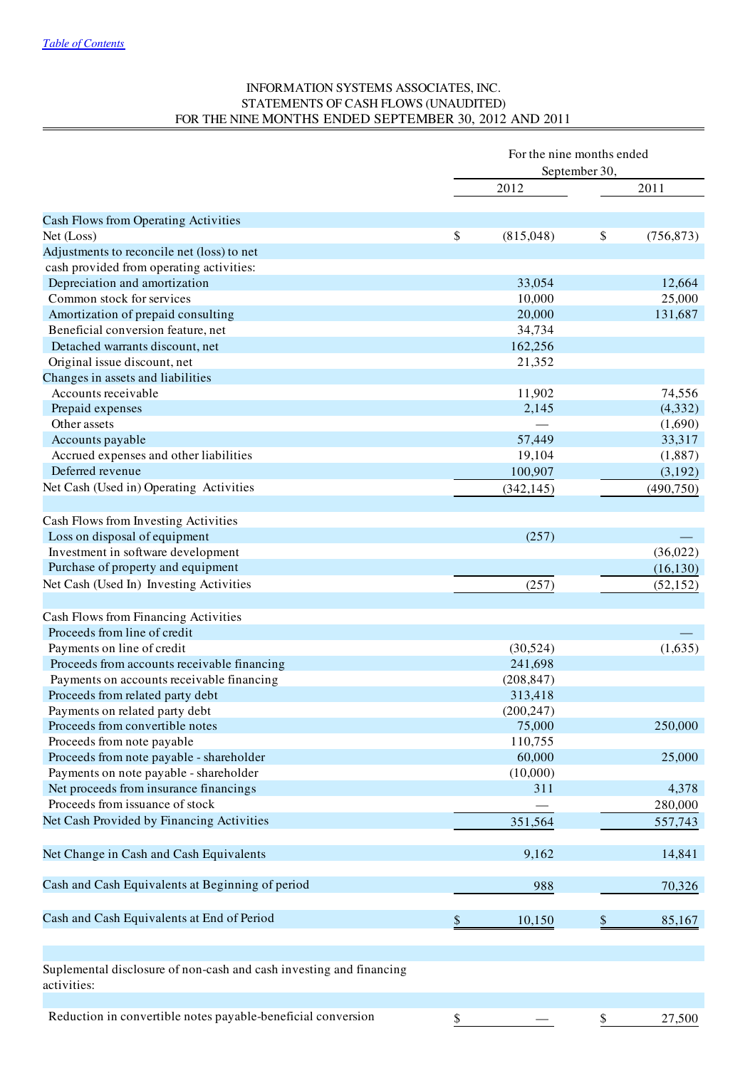## INFORMATION SYSTEMS ASSOCIATES, INC. STATEMENTS OF CASH FLOWS (UNAUDITED) FOR THE NINE MONTHS ENDED SEPTEMBER 30, 2012 AND 2011

| 2011<br>2012<br>Cash Flows from Operating Activities<br>\$<br>(815,048)<br>\$<br>Net (Loss)<br>(756, 873)<br>Adjustments to reconcile net (loss) to net<br>cash provided from operating activities:<br>Depreciation and amortization<br>33,054<br>12,664<br>Common stock for services<br>25,000<br>10,000<br>Amortization of prepaid consulting<br>20,000<br>131,687<br>Beneficial conversion feature, net<br>34,734<br>Detached warrants discount, net<br>162,256<br>Original issue discount, net<br>21,352<br>Changes in assets and liabilities<br>Accounts receivable<br>11,902<br>74,556<br>2,145<br>(4, 332)<br>Prepaid expenses<br>Other assets<br>(1,690)<br>57,449<br>33,317<br>Accounts payable<br>19,104<br>Accrued expenses and other liabilities<br>(1,887)<br>Deferred revenue<br>(3,192)<br>100,907<br>Net Cash (Used in) Operating Activities<br>(342, 145)<br>(490, 750)<br>Cash Flows from Investing Activities<br>Loss on disposal of equipment<br>(257)<br>Investment in software development<br>(36,022)<br>Purchase of property and equipment<br>(16, 130)<br>Net Cash (Used In) Investing Activities<br>(257)<br>(52, 152)<br>Cash Flows from Financing Activities<br>Proceeds from line of credit<br>Payments on line of credit<br>(1,635)<br>(30,524)<br>Proceeds from accounts receivable financing<br>241,698<br>Payments on accounts receivable financing<br>(208, 847)<br>Proceeds from related party debt<br>313,418<br>(200, 247)<br>Payments on related party debt<br>Proceeds from convertible notes<br>75,000<br>250,000<br>Proceeds from note payable<br>110,755<br>Proceeds from note payable - shareholder<br>60,000<br>25,000<br>Payments on note payable - shareholder<br>(10,000)<br>Net proceeds from insurance financings<br>311<br>4,378<br>Proceeds from issuance of stock<br>280,000<br>Net Cash Provided by Financing Activities<br>351,564<br>557,743<br>Net Change in Cash and Cash Equivalents<br>9,162<br>14,841<br>Cash and Cash Equivalents at Beginning of period<br>988<br>70,326<br>Cash and Cash Equivalents at End of Period<br>\$<br>\$<br>10,150<br>85,167<br>Suplemental disclosure of non-cash and cash investing and financing<br>activities:<br>Reduction in convertible notes payable-beneficial conversion<br>$\frac{\mathcal{S}}{\mathcal{S}}$<br>$\frac{\mathcal{S}}{\mathcal{S}}$<br>27,500 | For the nine months ended<br>September 30, |  |  |  |
|----------------------------------------------------------------------------------------------------------------------------------------------------------------------------------------------------------------------------------------------------------------------------------------------------------------------------------------------------------------------------------------------------------------------------------------------------------------------------------------------------------------------------------------------------------------------------------------------------------------------------------------------------------------------------------------------------------------------------------------------------------------------------------------------------------------------------------------------------------------------------------------------------------------------------------------------------------------------------------------------------------------------------------------------------------------------------------------------------------------------------------------------------------------------------------------------------------------------------------------------------------------------------------------------------------------------------------------------------------------------------------------------------------------------------------------------------------------------------------------------------------------------------------------------------------------------------------------------------------------------------------------------------------------------------------------------------------------------------------------------------------------------------------------------------------------------------------------------------------------------------------------------------------------------------------------------------------------------------------------------------------------------------------------------------------------------------------------------------------------------------------------------------------------------------------------------------------------------------------------------------------------------------------------------------------------------------------------------------------------|--------------------------------------------|--|--|--|
|                                                                                                                                                                                                                                                                                                                                                                                                                                                                                                                                                                                                                                                                                                                                                                                                                                                                                                                                                                                                                                                                                                                                                                                                                                                                                                                                                                                                                                                                                                                                                                                                                                                                                                                                                                                                                                                                                                                                                                                                                                                                                                                                                                                                                                                                                                                                                                |                                            |  |  |  |
|                                                                                                                                                                                                                                                                                                                                                                                                                                                                                                                                                                                                                                                                                                                                                                                                                                                                                                                                                                                                                                                                                                                                                                                                                                                                                                                                                                                                                                                                                                                                                                                                                                                                                                                                                                                                                                                                                                                                                                                                                                                                                                                                                                                                                                                                                                                                                                |                                            |  |  |  |
|                                                                                                                                                                                                                                                                                                                                                                                                                                                                                                                                                                                                                                                                                                                                                                                                                                                                                                                                                                                                                                                                                                                                                                                                                                                                                                                                                                                                                                                                                                                                                                                                                                                                                                                                                                                                                                                                                                                                                                                                                                                                                                                                                                                                                                                                                                                                                                |                                            |  |  |  |
|                                                                                                                                                                                                                                                                                                                                                                                                                                                                                                                                                                                                                                                                                                                                                                                                                                                                                                                                                                                                                                                                                                                                                                                                                                                                                                                                                                                                                                                                                                                                                                                                                                                                                                                                                                                                                                                                                                                                                                                                                                                                                                                                                                                                                                                                                                                                                                |                                            |  |  |  |
|                                                                                                                                                                                                                                                                                                                                                                                                                                                                                                                                                                                                                                                                                                                                                                                                                                                                                                                                                                                                                                                                                                                                                                                                                                                                                                                                                                                                                                                                                                                                                                                                                                                                                                                                                                                                                                                                                                                                                                                                                                                                                                                                                                                                                                                                                                                                                                |                                            |  |  |  |
|                                                                                                                                                                                                                                                                                                                                                                                                                                                                                                                                                                                                                                                                                                                                                                                                                                                                                                                                                                                                                                                                                                                                                                                                                                                                                                                                                                                                                                                                                                                                                                                                                                                                                                                                                                                                                                                                                                                                                                                                                                                                                                                                                                                                                                                                                                                                                                |                                            |  |  |  |
|                                                                                                                                                                                                                                                                                                                                                                                                                                                                                                                                                                                                                                                                                                                                                                                                                                                                                                                                                                                                                                                                                                                                                                                                                                                                                                                                                                                                                                                                                                                                                                                                                                                                                                                                                                                                                                                                                                                                                                                                                                                                                                                                                                                                                                                                                                                                                                |                                            |  |  |  |
|                                                                                                                                                                                                                                                                                                                                                                                                                                                                                                                                                                                                                                                                                                                                                                                                                                                                                                                                                                                                                                                                                                                                                                                                                                                                                                                                                                                                                                                                                                                                                                                                                                                                                                                                                                                                                                                                                                                                                                                                                                                                                                                                                                                                                                                                                                                                                                |                                            |  |  |  |
|                                                                                                                                                                                                                                                                                                                                                                                                                                                                                                                                                                                                                                                                                                                                                                                                                                                                                                                                                                                                                                                                                                                                                                                                                                                                                                                                                                                                                                                                                                                                                                                                                                                                                                                                                                                                                                                                                                                                                                                                                                                                                                                                                                                                                                                                                                                                                                |                                            |  |  |  |
|                                                                                                                                                                                                                                                                                                                                                                                                                                                                                                                                                                                                                                                                                                                                                                                                                                                                                                                                                                                                                                                                                                                                                                                                                                                                                                                                                                                                                                                                                                                                                                                                                                                                                                                                                                                                                                                                                                                                                                                                                                                                                                                                                                                                                                                                                                                                                                |                                            |  |  |  |
|                                                                                                                                                                                                                                                                                                                                                                                                                                                                                                                                                                                                                                                                                                                                                                                                                                                                                                                                                                                                                                                                                                                                                                                                                                                                                                                                                                                                                                                                                                                                                                                                                                                                                                                                                                                                                                                                                                                                                                                                                                                                                                                                                                                                                                                                                                                                                                |                                            |  |  |  |
|                                                                                                                                                                                                                                                                                                                                                                                                                                                                                                                                                                                                                                                                                                                                                                                                                                                                                                                                                                                                                                                                                                                                                                                                                                                                                                                                                                                                                                                                                                                                                                                                                                                                                                                                                                                                                                                                                                                                                                                                                                                                                                                                                                                                                                                                                                                                                                |                                            |  |  |  |
|                                                                                                                                                                                                                                                                                                                                                                                                                                                                                                                                                                                                                                                                                                                                                                                                                                                                                                                                                                                                                                                                                                                                                                                                                                                                                                                                                                                                                                                                                                                                                                                                                                                                                                                                                                                                                                                                                                                                                                                                                                                                                                                                                                                                                                                                                                                                                                |                                            |  |  |  |
|                                                                                                                                                                                                                                                                                                                                                                                                                                                                                                                                                                                                                                                                                                                                                                                                                                                                                                                                                                                                                                                                                                                                                                                                                                                                                                                                                                                                                                                                                                                                                                                                                                                                                                                                                                                                                                                                                                                                                                                                                                                                                                                                                                                                                                                                                                                                                                |                                            |  |  |  |
|                                                                                                                                                                                                                                                                                                                                                                                                                                                                                                                                                                                                                                                                                                                                                                                                                                                                                                                                                                                                                                                                                                                                                                                                                                                                                                                                                                                                                                                                                                                                                                                                                                                                                                                                                                                                                                                                                                                                                                                                                                                                                                                                                                                                                                                                                                                                                                |                                            |  |  |  |
|                                                                                                                                                                                                                                                                                                                                                                                                                                                                                                                                                                                                                                                                                                                                                                                                                                                                                                                                                                                                                                                                                                                                                                                                                                                                                                                                                                                                                                                                                                                                                                                                                                                                                                                                                                                                                                                                                                                                                                                                                                                                                                                                                                                                                                                                                                                                                                |                                            |  |  |  |
|                                                                                                                                                                                                                                                                                                                                                                                                                                                                                                                                                                                                                                                                                                                                                                                                                                                                                                                                                                                                                                                                                                                                                                                                                                                                                                                                                                                                                                                                                                                                                                                                                                                                                                                                                                                                                                                                                                                                                                                                                                                                                                                                                                                                                                                                                                                                                                |                                            |  |  |  |
|                                                                                                                                                                                                                                                                                                                                                                                                                                                                                                                                                                                                                                                                                                                                                                                                                                                                                                                                                                                                                                                                                                                                                                                                                                                                                                                                                                                                                                                                                                                                                                                                                                                                                                                                                                                                                                                                                                                                                                                                                                                                                                                                                                                                                                                                                                                                                                |                                            |  |  |  |
|                                                                                                                                                                                                                                                                                                                                                                                                                                                                                                                                                                                                                                                                                                                                                                                                                                                                                                                                                                                                                                                                                                                                                                                                                                                                                                                                                                                                                                                                                                                                                                                                                                                                                                                                                                                                                                                                                                                                                                                                                                                                                                                                                                                                                                                                                                                                                                |                                            |  |  |  |
|                                                                                                                                                                                                                                                                                                                                                                                                                                                                                                                                                                                                                                                                                                                                                                                                                                                                                                                                                                                                                                                                                                                                                                                                                                                                                                                                                                                                                                                                                                                                                                                                                                                                                                                                                                                                                                                                                                                                                                                                                                                                                                                                                                                                                                                                                                                                                                |                                            |  |  |  |
|                                                                                                                                                                                                                                                                                                                                                                                                                                                                                                                                                                                                                                                                                                                                                                                                                                                                                                                                                                                                                                                                                                                                                                                                                                                                                                                                                                                                                                                                                                                                                                                                                                                                                                                                                                                                                                                                                                                                                                                                                                                                                                                                                                                                                                                                                                                                                                |                                            |  |  |  |
|                                                                                                                                                                                                                                                                                                                                                                                                                                                                                                                                                                                                                                                                                                                                                                                                                                                                                                                                                                                                                                                                                                                                                                                                                                                                                                                                                                                                                                                                                                                                                                                                                                                                                                                                                                                                                                                                                                                                                                                                                                                                                                                                                                                                                                                                                                                                                                |                                            |  |  |  |
|                                                                                                                                                                                                                                                                                                                                                                                                                                                                                                                                                                                                                                                                                                                                                                                                                                                                                                                                                                                                                                                                                                                                                                                                                                                                                                                                                                                                                                                                                                                                                                                                                                                                                                                                                                                                                                                                                                                                                                                                                                                                                                                                                                                                                                                                                                                                                                |                                            |  |  |  |
|                                                                                                                                                                                                                                                                                                                                                                                                                                                                                                                                                                                                                                                                                                                                                                                                                                                                                                                                                                                                                                                                                                                                                                                                                                                                                                                                                                                                                                                                                                                                                                                                                                                                                                                                                                                                                                                                                                                                                                                                                                                                                                                                                                                                                                                                                                                                                                |                                            |  |  |  |
|                                                                                                                                                                                                                                                                                                                                                                                                                                                                                                                                                                                                                                                                                                                                                                                                                                                                                                                                                                                                                                                                                                                                                                                                                                                                                                                                                                                                                                                                                                                                                                                                                                                                                                                                                                                                                                                                                                                                                                                                                                                                                                                                                                                                                                                                                                                                                                |                                            |  |  |  |
|                                                                                                                                                                                                                                                                                                                                                                                                                                                                                                                                                                                                                                                                                                                                                                                                                                                                                                                                                                                                                                                                                                                                                                                                                                                                                                                                                                                                                                                                                                                                                                                                                                                                                                                                                                                                                                                                                                                                                                                                                                                                                                                                                                                                                                                                                                                                                                |                                            |  |  |  |
|                                                                                                                                                                                                                                                                                                                                                                                                                                                                                                                                                                                                                                                                                                                                                                                                                                                                                                                                                                                                                                                                                                                                                                                                                                                                                                                                                                                                                                                                                                                                                                                                                                                                                                                                                                                                                                                                                                                                                                                                                                                                                                                                                                                                                                                                                                                                                                |                                            |  |  |  |
|                                                                                                                                                                                                                                                                                                                                                                                                                                                                                                                                                                                                                                                                                                                                                                                                                                                                                                                                                                                                                                                                                                                                                                                                                                                                                                                                                                                                                                                                                                                                                                                                                                                                                                                                                                                                                                                                                                                                                                                                                                                                                                                                                                                                                                                                                                                                                                |                                            |  |  |  |
|                                                                                                                                                                                                                                                                                                                                                                                                                                                                                                                                                                                                                                                                                                                                                                                                                                                                                                                                                                                                                                                                                                                                                                                                                                                                                                                                                                                                                                                                                                                                                                                                                                                                                                                                                                                                                                                                                                                                                                                                                                                                                                                                                                                                                                                                                                                                                                |                                            |  |  |  |
|                                                                                                                                                                                                                                                                                                                                                                                                                                                                                                                                                                                                                                                                                                                                                                                                                                                                                                                                                                                                                                                                                                                                                                                                                                                                                                                                                                                                                                                                                                                                                                                                                                                                                                                                                                                                                                                                                                                                                                                                                                                                                                                                                                                                                                                                                                                                                                |                                            |  |  |  |
|                                                                                                                                                                                                                                                                                                                                                                                                                                                                                                                                                                                                                                                                                                                                                                                                                                                                                                                                                                                                                                                                                                                                                                                                                                                                                                                                                                                                                                                                                                                                                                                                                                                                                                                                                                                                                                                                                                                                                                                                                                                                                                                                                                                                                                                                                                                                                                |                                            |  |  |  |
|                                                                                                                                                                                                                                                                                                                                                                                                                                                                                                                                                                                                                                                                                                                                                                                                                                                                                                                                                                                                                                                                                                                                                                                                                                                                                                                                                                                                                                                                                                                                                                                                                                                                                                                                                                                                                                                                                                                                                                                                                                                                                                                                                                                                                                                                                                                                                                |                                            |  |  |  |
|                                                                                                                                                                                                                                                                                                                                                                                                                                                                                                                                                                                                                                                                                                                                                                                                                                                                                                                                                                                                                                                                                                                                                                                                                                                                                                                                                                                                                                                                                                                                                                                                                                                                                                                                                                                                                                                                                                                                                                                                                                                                                                                                                                                                                                                                                                                                                                |                                            |  |  |  |
|                                                                                                                                                                                                                                                                                                                                                                                                                                                                                                                                                                                                                                                                                                                                                                                                                                                                                                                                                                                                                                                                                                                                                                                                                                                                                                                                                                                                                                                                                                                                                                                                                                                                                                                                                                                                                                                                                                                                                                                                                                                                                                                                                                                                                                                                                                                                                                |                                            |  |  |  |
|                                                                                                                                                                                                                                                                                                                                                                                                                                                                                                                                                                                                                                                                                                                                                                                                                                                                                                                                                                                                                                                                                                                                                                                                                                                                                                                                                                                                                                                                                                                                                                                                                                                                                                                                                                                                                                                                                                                                                                                                                                                                                                                                                                                                                                                                                                                                                                |                                            |  |  |  |
|                                                                                                                                                                                                                                                                                                                                                                                                                                                                                                                                                                                                                                                                                                                                                                                                                                                                                                                                                                                                                                                                                                                                                                                                                                                                                                                                                                                                                                                                                                                                                                                                                                                                                                                                                                                                                                                                                                                                                                                                                                                                                                                                                                                                                                                                                                                                                                |                                            |  |  |  |
|                                                                                                                                                                                                                                                                                                                                                                                                                                                                                                                                                                                                                                                                                                                                                                                                                                                                                                                                                                                                                                                                                                                                                                                                                                                                                                                                                                                                                                                                                                                                                                                                                                                                                                                                                                                                                                                                                                                                                                                                                                                                                                                                                                                                                                                                                                                                                                |                                            |  |  |  |
|                                                                                                                                                                                                                                                                                                                                                                                                                                                                                                                                                                                                                                                                                                                                                                                                                                                                                                                                                                                                                                                                                                                                                                                                                                                                                                                                                                                                                                                                                                                                                                                                                                                                                                                                                                                                                                                                                                                                                                                                                                                                                                                                                                                                                                                                                                                                                                |                                            |  |  |  |
|                                                                                                                                                                                                                                                                                                                                                                                                                                                                                                                                                                                                                                                                                                                                                                                                                                                                                                                                                                                                                                                                                                                                                                                                                                                                                                                                                                                                                                                                                                                                                                                                                                                                                                                                                                                                                                                                                                                                                                                                                                                                                                                                                                                                                                                                                                                                                                |                                            |  |  |  |
|                                                                                                                                                                                                                                                                                                                                                                                                                                                                                                                                                                                                                                                                                                                                                                                                                                                                                                                                                                                                                                                                                                                                                                                                                                                                                                                                                                                                                                                                                                                                                                                                                                                                                                                                                                                                                                                                                                                                                                                                                                                                                                                                                                                                                                                                                                                                                                |                                            |  |  |  |
|                                                                                                                                                                                                                                                                                                                                                                                                                                                                                                                                                                                                                                                                                                                                                                                                                                                                                                                                                                                                                                                                                                                                                                                                                                                                                                                                                                                                                                                                                                                                                                                                                                                                                                                                                                                                                                                                                                                                                                                                                                                                                                                                                                                                                                                                                                                                                                |                                            |  |  |  |
|                                                                                                                                                                                                                                                                                                                                                                                                                                                                                                                                                                                                                                                                                                                                                                                                                                                                                                                                                                                                                                                                                                                                                                                                                                                                                                                                                                                                                                                                                                                                                                                                                                                                                                                                                                                                                                                                                                                                                                                                                                                                                                                                                                                                                                                                                                                                                                |                                            |  |  |  |
|                                                                                                                                                                                                                                                                                                                                                                                                                                                                                                                                                                                                                                                                                                                                                                                                                                                                                                                                                                                                                                                                                                                                                                                                                                                                                                                                                                                                                                                                                                                                                                                                                                                                                                                                                                                                                                                                                                                                                                                                                                                                                                                                                                                                                                                                                                                                                                |                                            |  |  |  |
|                                                                                                                                                                                                                                                                                                                                                                                                                                                                                                                                                                                                                                                                                                                                                                                                                                                                                                                                                                                                                                                                                                                                                                                                                                                                                                                                                                                                                                                                                                                                                                                                                                                                                                                                                                                                                                                                                                                                                                                                                                                                                                                                                                                                                                                                                                                                                                |                                            |  |  |  |
|                                                                                                                                                                                                                                                                                                                                                                                                                                                                                                                                                                                                                                                                                                                                                                                                                                                                                                                                                                                                                                                                                                                                                                                                                                                                                                                                                                                                                                                                                                                                                                                                                                                                                                                                                                                                                                                                                                                                                                                                                                                                                                                                                                                                                                                                                                                                                                |                                            |  |  |  |
|                                                                                                                                                                                                                                                                                                                                                                                                                                                                                                                                                                                                                                                                                                                                                                                                                                                                                                                                                                                                                                                                                                                                                                                                                                                                                                                                                                                                                                                                                                                                                                                                                                                                                                                                                                                                                                                                                                                                                                                                                                                                                                                                                                                                                                                                                                                                                                |                                            |  |  |  |
|                                                                                                                                                                                                                                                                                                                                                                                                                                                                                                                                                                                                                                                                                                                                                                                                                                                                                                                                                                                                                                                                                                                                                                                                                                                                                                                                                                                                                                                                                                                                                                                                                                                                                                                                                                                                                                                                                                                                                                                                                                                                                                                                                                                                                                                                                                                                                                |                                            |  |  |  |
|                                                                                                                                                                                                                                                                                                                                                                                                                                                                                                                                                                                                                                                                                                                                                                                                                                                                                                                                                                                                                                                                                                                                                                                                                                                                                                                                                                                                                                                                                                                                                                                                                                                                                                                                                                                                                                                                                                                                                                                                                                                                                                                                                                                                                                                                                                                                                                |                                            |  |  |  |
|                                                                                                                                                                                                                                                                                                                                                                                                                                                                                                                                                                                                                                                                                                                                                                                                                                                                                                                                                                                                                                                                                                                                                                                                                                                                                                                                                                                                                                                                                                                                                                                                                                                                                                                                                                                                                                                                                                                                                                                                                                                                                                                                                                                                                                                                                                                                                                |                                            |  |  |  |
|                                                                                                                                                                                                                                                                                                                                                                                                                                                                                                                                                                                                                                                                                                                                                                                                                                                                                                                                                                                                                                                                                                                                                                                                                                                                                                                                                                                                                                                                                                                                                                                                                                                                                                                                                                                                                                                                                                                                                                                                                                                                                                                                                                                                                                                                                                                                                                |                                            |  |  |  |
|                                                                                                                                                                                                                                                                                                                                                                                                                                                                                                                                                                                                                                                                                                                                                                                                                                                                                                                                                                                                                                                                                                                                                                                                                                                                                                                                                                                                                                                                                                                                                                                                                                                                                                                                                                                                                                                                                                                                                                                                                                                                                                                                                                                                                                                                                                                                                                |                                            |  |  |  |
|                                                                                                                                                                                                                                                                                                                                                                                                                                                                                                                                                                                                                                                                                                                                                                                                                                                                                                                                                                                                                                                                                                                                                                                                                                                                                                                                                                                                                                                                                                                                                                                                                                                                                                                                                                                                                                                                                                                                                                                                                                                                                                                                                                                                                                                                                                                                                                |                                            |  |  |  |
|                                                                                                                                                                                                                                                                                                                                                                                                                                                                                                                                                                                                                                                                                                                                                                                                                                                                                                                                                                                                                                                                                                                                                                                                                                                                                                                                                                                                                                                                                                                                                                                                                                                                                                                                                                                                                                                                                                                                                                                                                                                                                                                                                                                                                                                                                                                                                                |                                            |  |  |  |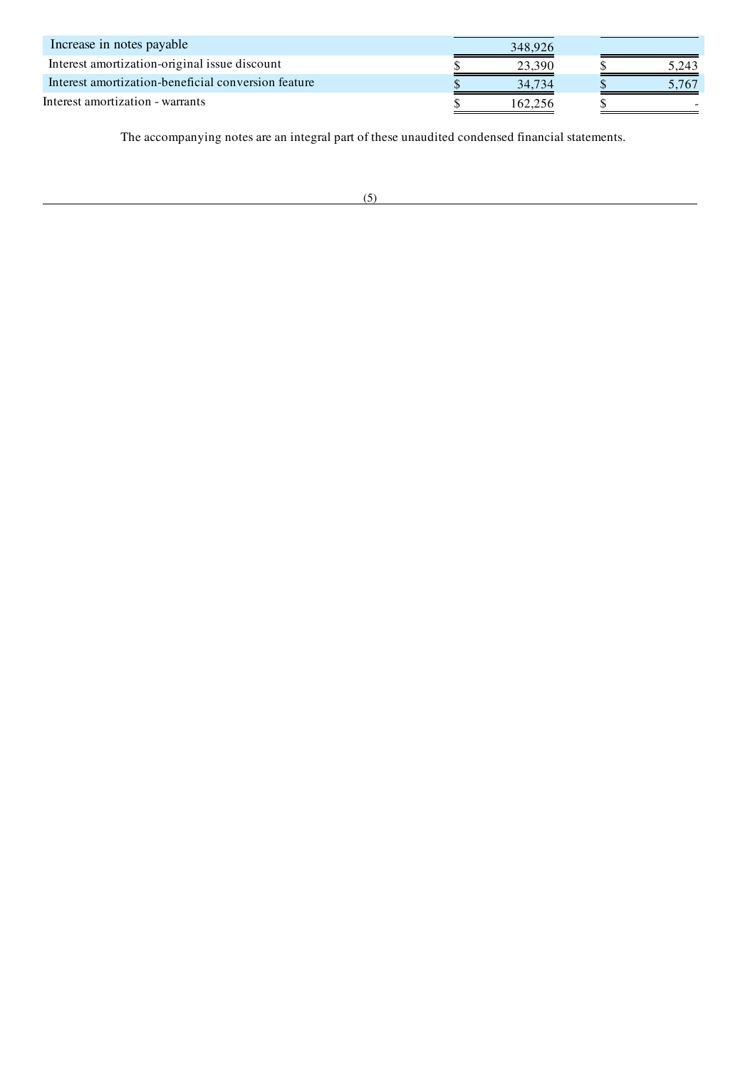| Increase in notes payable                           | 348,926 |       |
|-----------------------------------------------------|---------|-------|
| Interest amortization-original issue discount       | 23.390  | 5.243 |
| Interest amortization-beneficial conversion feature | 34.734  | 5.767 |
| Interest amortization - warrants                    | 162.256 |       |

The accompanying notes are an integral part of these unaudited condensed financial statements.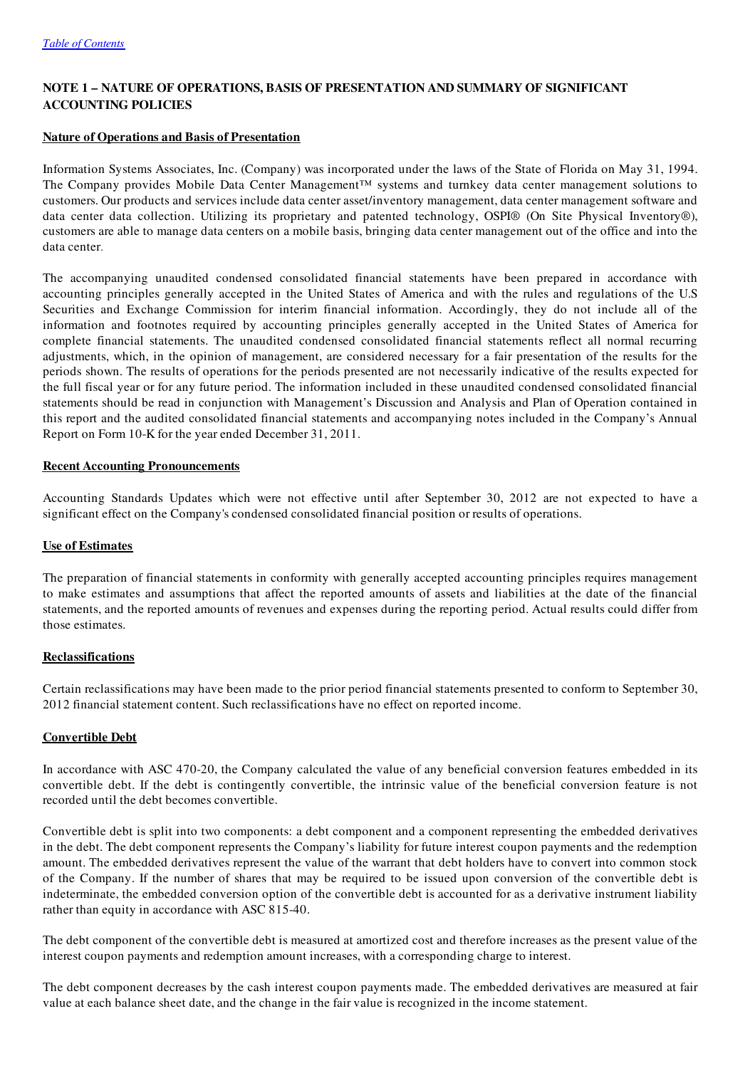# NOTE 1 – NATURE OF OPERATIONS, BASIS OF PRESENTATION AND SUMMARY OF SIGNIFICANT ACCOUNTING POLICIES

## Nature of Operations and Basis of Presentation

Information Systems Associates, Inc. (Company) was incorporated under the laws of the State of Florida on May 31, 1994. The Company provides Mobile Data Center Management™ systems and turnkey data center management solutions to customers. Our products and services include data center asset/inventory management, data center management software and data center data collection. Utilizing its proprietary and patented technology, OSPI® (On Site Physical Inventory®), customers are able to manage data centers on a mobile basis, bringing data center management out of the office and into the data center.

The accompanying unaudited condensed consolidated financial statements have been prepared in accordance with accounting principles generally accepted in the United States of America and with the rules and regulations of the U.S Securities and Exchange Commission for interim financial information. Accordingly, they do not include all of the information and footnotes required by accounting principles generally accepted in the United States of America for complete financial statements. The unaudited condensed consolidated financial statements reflect all normal recurring adjustments, which, in the opinion of management, are considered necessary for a fair presentation of the results for the periods shown. The results of operations for the periods presented are not necessarily indicative of the results expected for the full fiscal year or for any future period. The information included in these unaudited condensed consolidated financial statements should be read in conjunction with Management's Discussion and Analysis and Plan of Operation contained in this report and the audited consolidated financial statements and accompanying notes included in the Company's Annual Report on Form 10-K for the year ended December 31, 2011.

## Recent Accounting Pronouncements

Accounting Standards Updates which were not effective until after September 30, 2012 are not expected to have a significant effect on the Company's condensed consolidated financial position or results of operations.

## Use of Estimates

The preparation of financial statements in conformity with generally accepted accounting principles requires management to make estimates and assumptions that affect the reported amounts of assets and liabilities at the date of the financial statements, and the reported amounts of revenues and expenses during the reporting period. Actual results could differ from those estimates.

## **Reclassifications**

Certain reclassifications may have been made to the prior period financial statements presented to conform to September 30, 2012 financial statement content. Such reclassifications have no effect on reported income.

## Convertible Debt

In accordance with ASC 470-20, the Company calculated the value of any beneficial conversion features embedded in its convertible debt. If the debt is contingently convertible, the intrinsic value of the beneficial conversion feature is not recorded until the debt becomes convertible.

Convertible debt is split into two components: a debt component and a component representing the embedded derivatives in the debt. The debt component represents the Company's liability for future interest coupon payments and the redemption amount. The embedded derivatives represent the value of the warrant that debt holders have to convert into common stock of the Company. If the number of shares that may be required to be issued upon conversion of the convertible debt is indeterminate, the embedded conversion option of the convertible debt is accounted for as a derivative instrument liability rather than equity in accordance with ASC 815-40.

The debt component of the convertible debt is measured at amortized cost and therefore increases as the present value of the interest coupon payments and redemption amount increases, with a corresponding charge to interest.

The debt component decreases by the cash interest coupon payments made. The embedded derivatives are measured at fair value at each balance sheet date, and the change in the fair value is recognized in the income statement.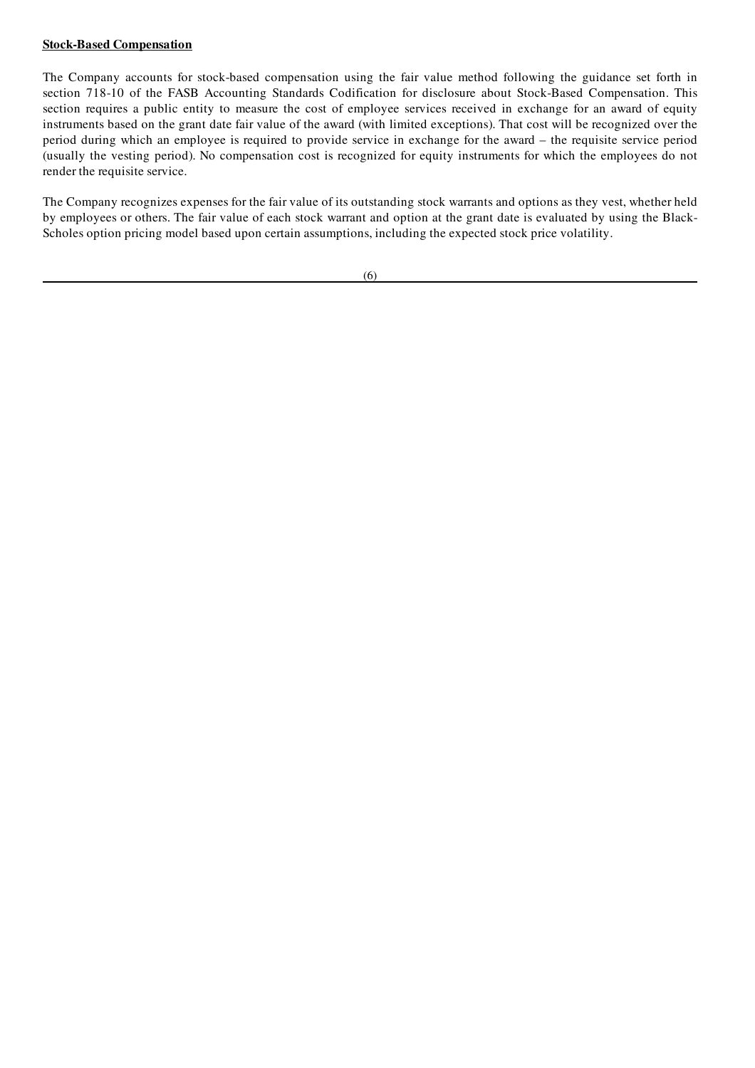## Stock-Based Compensation

The Company accounts for stock-based compensation using the fair value method following the guidance set forth in section 718-10 of the FASB Accounting Standards Codification for disclosure about Stock-Based Compensation. This section requires a public entity to measure the cost of employee services received in exchange for an award of equity instruments based on the grant date fair value of the award (with limited exceptions). That cost will be recognized over the period during which an employee is required to provide service in exchange for the award – the requisite service period (usually the vesting period). No compensation cost is recognized for equity instruments for which the employees do not render the requisite service.

The Company recognizes expenses for the fair value of its outstanding stock warrants and options as they vest, whether held by employees or others. The fair value of each stock warrant and option at the grant date is evaluated by using the Black-Scholes option pricing model based upon certain assumptions, including the expected stock price volatility.

 $(6)$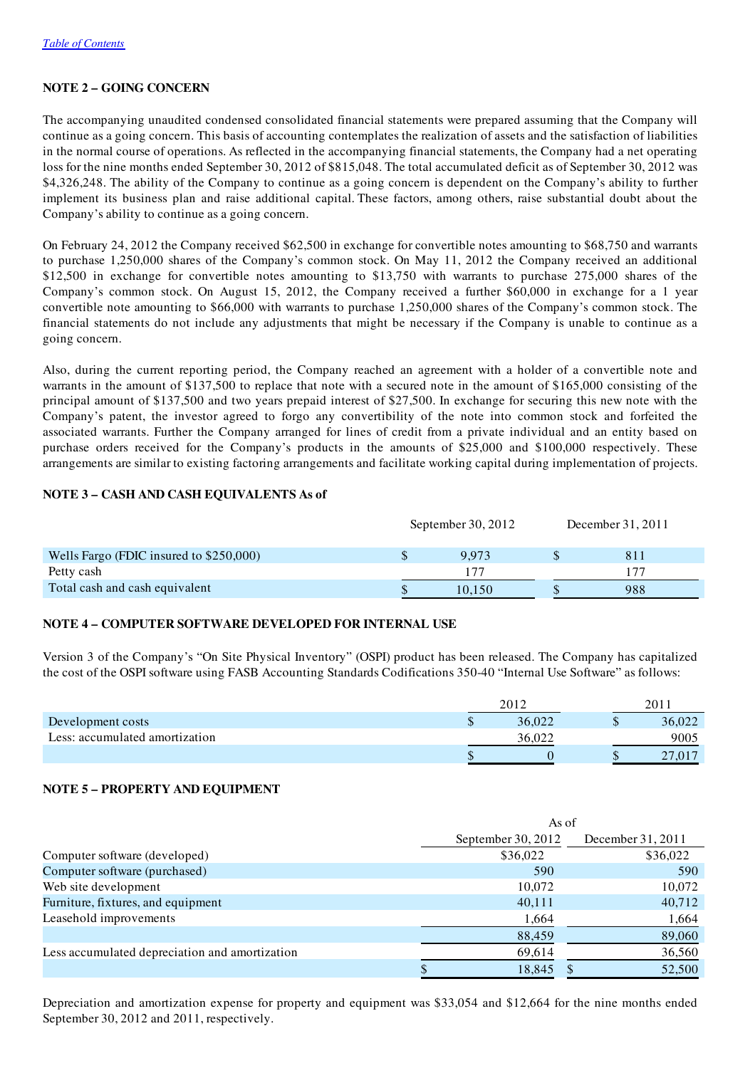# NOTE 2 – GOING CONCERN

The accompanying unaudited condensed consolidated financial statements were prepared assuming that the Company will continue as a going concern. This basis of accounting contemplates the realization of assets and the satisfaction of liabilities in the normal course of operations. As reflected in the accompanying financial statements, the Company had a net operating loss for the nine months ended September 30, 2012 of \$815,048. The total accumulated deficit as of September 30, 2012 was \$4,326,248. The ability of the Company to continue as a going concern is dependent on the Company's ability to further implement its business plan and raise additional capital. These factors, among others, raise substantial doubt about the Company's ability to continue as a going concern.

On February 24, 2012 the Company received \$62,500 in exchange for convertible notes amounting to \$68,750 and warrants to purchase 1,250,000 shares of the Company's common stock. On May 11, 2012 the Company received an additional \$12,500 in exchange for convertible notes amounting to \$13,750 with warrants to purchase 275,000 shares of the Company's common stock. On August 15, 2012, the Company received a further \$60,000 in exchange for a 1 year convertible note amounting to \$66,000 with warrants to purchase 1,250,000 shares of the Company's common stock. The financial statements do not include any adjustments that might be necessary if the Company is unable to continue as a going concern.

Also, during the current reporting period, the Company reached an agreement with a holder of a convertible note and warrants in the amount of \$137,500 to replace that note with a secured note in the amount of \$165,000 consisting of the principal amount of \$137,500 and two years prepaid interest of \$27,500. In exchange for securing this new note with the Company's patent, the investor agreed to forgo any convertibility of the note into common stock and forfeited the associated warrants. Further the Company arranged for lines of credit from a private individual and an entity based on purchase orders received for the Company's products in the amounts of \$25,000 and \$100,000 respectively. These arrangements are similar to existing factoring arrangements and facilitate working capital during implementation of projects.

## NOTE 3 – CASH AND CASH EQUIVALENTS As of

|                                         | September 30, $2012$ | December 31, 2011 |
|-----------------------------------------|----------------------|-------------------|
| Wells Fargo (FDIC insured to \$250,000) | 9.973                | 811               |
| Petty cash                              |                      |                   |
| Total cash and cash equivalent          | 10.150               | 988               |

## NOTE 4 – COMPUTER SOFTWARE DEVELOPED FOR INTERNAL USE

Version 3 of the Company's "On Site Physical Inventory" (OSPI) product has been released. The Company has capitalized the cost of the OSPI software using FASB Accounting Standards Codifications 350-40 "Internal Use Software" as follows:

|                                |   | 2012   |        |
|--------------------------------|---|--------|--------|
| Development costs              | ω | 36,022 | 36,022 |
| Less: accumulated amortization |   |        | 9005   |
|                                |   |        | ، سە   |

## NOTE 5 – PROPERTY AND EQUIPMENT

|                                                | As of                |                   |  |
|------------------------------------------------|----------------------|-------------------|--|
|                                                | September 30, $2012$ | December 31, 2011 |  |
| Computer software (developed)                  | \$36,022             | \$36,022          |  |
| Computer software (purchased)                  | 590                  | 590               |  |
| Web site development                           | 10,072               | 10,072            |  |
| Furniture, fixtures, and equipment             | 40,111               | 40,712            |  |
| Leasehold improvements                         | 1,664                | 1,664             |  |
|                                                | 88,459               | 89,060            |  |
| Less accumulated depreciation and amortization | 69,614               | 36,560            |  |
|                                                | 18,845               | 52,500            |  |

Depreciation and amortization expense for property and equipment was \$33,054 and \$12,664 for the nine months ended September 30, 2012 and 2011, respectively.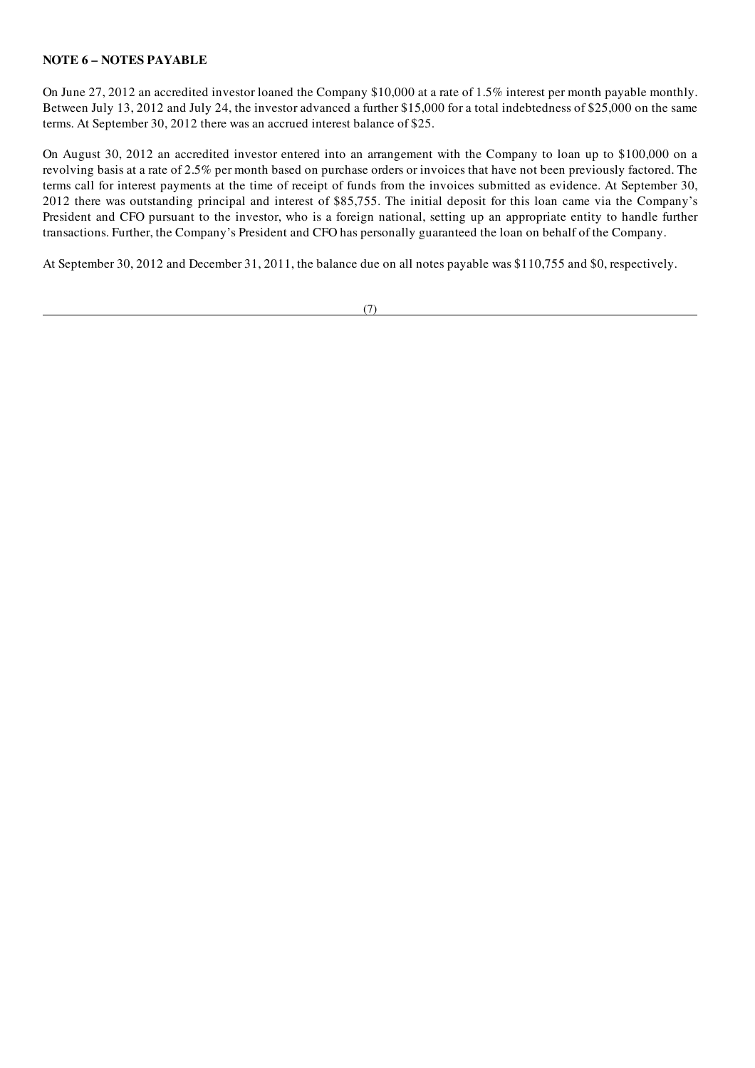## NOTE 6 – NOTES PAYABLE

On June 27, 2012 an accredited investor loaned the Company \$10,000 at a rate of 1.5% interest per month payable monthly. Between July 13, 2012 and July 24, the investor advanced a further \$15,000 for a total indebtedness of \$25,000 on the same terms. At September 30, 2012 there was an accrued interest balance of \$25.

On August 30, 2012 an accredited investor entered into an arrangement with the Company to loan up to \$100,000 on a revolving basis at a rate of 2.5% per month based on purchase orders or invoices that have not been previously factored. The terms call for interest payments at the time of receipt of funds from the invoices submitted as evidence. At September 30, 2012 there was outstanding principal and interest of \$85,755. The initial deposit for this loan came via the Company's President and CFO pursuant to the investor, who is a foreign national, setting up an appropriate entity to handle further transactions. Further, the Company's President and CFO has personally guaranteed the loan on behalf of the Company.

At September 30, 2012 and December 31, 2011, the balance due on all notes payable was \$110,755 and \$0, respectively.

(7)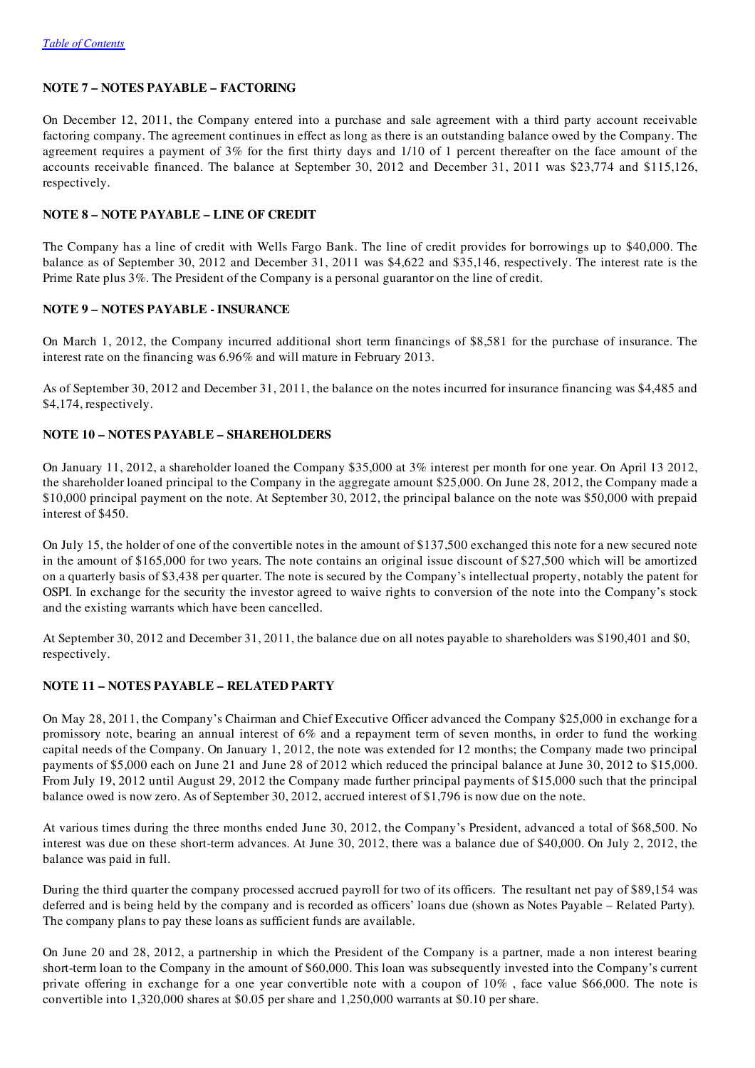## NOTE 7 – NOTES PAYABLE – FACTORING

On December 12, 2011, the Company entered into a purchase and sale agreement with a third party account receivable factoring company. The agreement continues in effect as long as there is an outstanding balance owed by the Company. The agreement requires a payment of 3% for the first thirty days and 1/10 of 1 percent thereafter on the face amount of the accounts receivable financed. The balance at September 30, 2012 and December 31, 2011 was \$23,774 and \$115,126, respectively.

## NOTE 8 – NOTE PAYABLE – LINE OF CREDIT

The Company has a line of credit with Wells Fargo Bank. The line of credit provides for borrowings up to \$40,000. The balance as of September 30, 2012 and December 31, 2011 was \$4,622 and \$35,146, respectively. The interest rate is the Prime Rate plus 3%. The President of the Company is a personal guarantor on the line of credit.

## NOTE 9 – NOTES PAYABLE - INSURANCE

On March 1, 2012, the Company incurred additional short term financings of \$8,581 for the purchase of insurance. The interest rate on the financing was 6.96% and will mature in February 2013.

As of September 30, 2012 and December 31, 2011, the balance on the notes incurred for insurance financing was \$4,485 and \$4,174, respectively.

## NOTE 10 – NOTES PAYABLE – SHAREHOLDERS

On January 11, 2012, a shareholder loaned the Company \$35,000 at 3% interest per month for one year. On April 13 2012, the shareholder loaned principal to the Company in the aggregate amount \$25,000. On June 28, 2012, the Company made a \$10,000 principal payment on the note. At September 30, 2012, the principal balance on the note was \$50,000 with prepaid interest of \$450.

On July 15, the holder of one of the convertible notes in the amount of \$137,500 exchanged this note for a new secured note in the amount of \$165,000 for two years. The note contains an original issue discount of \$27,500 which will be amortized on a quarterly basis of \$3,438 per quarter. The note is secured by the Company's intellectual property, notably the patent for OSPI. In exchange for the security the investor agreed to waive rights to conversion of the note into the Company's stock and the existing warrants which have been cancelled.

At September 30, 2012 and December 31, 2011, the balance due on all notes payable to shareholders was \$190,401 and \$0, respectively.

## NOTE 11 – NOTES PAYABLE – RELATED PARTY

On May 28, 2011, the Company's Chairman and Chief Executive Officer advanced the Company \$25,000 in exchange for a promissory note, bearing an annual interest of 6% and a repayment term of seven months, in order to fund the working capital needs of the Company. On January 1, 2012, the note was extended for 12 months; the Company made two principal payments of \$5,000 each on June 21 and June 28 of 2012 which reduced the principal balance at June 30, 2012 to \$15,000. From July 19, 2012 until August 29, 2012 the Company made further principal payments of \$15,000 such that the principal balance owed is now zero. As of September 30, 2012, accrued interest of \$1,796 is now due on the note.

At various times during the three months ended June 30, 2012, the Company's President, advanced a total of \$68,500. No interest was due on these short-term advances. At June 30, 2012, there was a balance due of \$40,000. On July 2, 2012, the balance was paid in full.

During the third quarter the company processed accrued payroll for two of its officers. The resultant net pay of \$89,154 was deferred and is being held by the company and is recorded as officers' loans due (shown as Notes Payable – Related Party). The company plans to pay these loans as sufficient funds are available.

On June 20 and 28, 2012, a partnership in which the President of the Company is a partner, made a non interest bearing short-term loan to the Company in the amount of \$60,000. This loan was subsequently invested into the Company's current private offering in exchange for a one year convertible note with a coupon of 10% , face value \$66,000. The note is convertible into 1,320,000 shares at \$0.05 per share and 1,250,000 warrants at \$0.10 per share.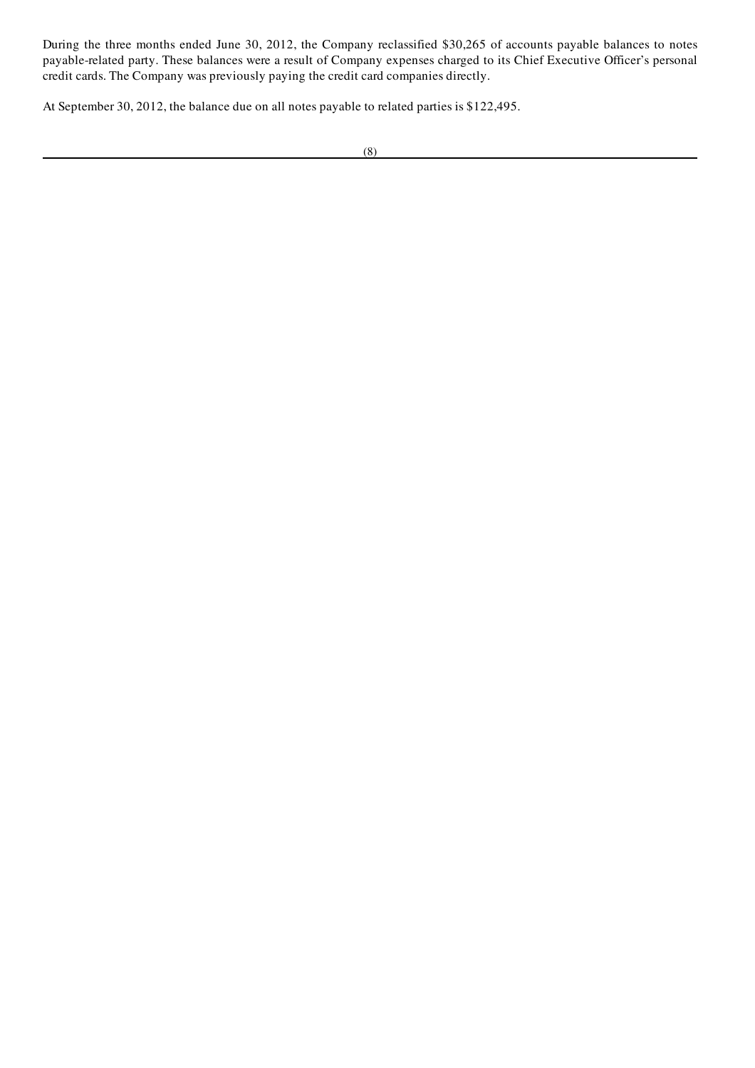During the three months ended June 30, 2012, the Company reclassified \$30,265 of accounts payable balances to notes payable-related party. These balances were a result of Company expenses charged to its Chief Executive Officer's personal credit cards. The Company was previously paying the credit card companies directly.

At September 30, 2012, the balance due on all notes payable to related parties is \$122,495.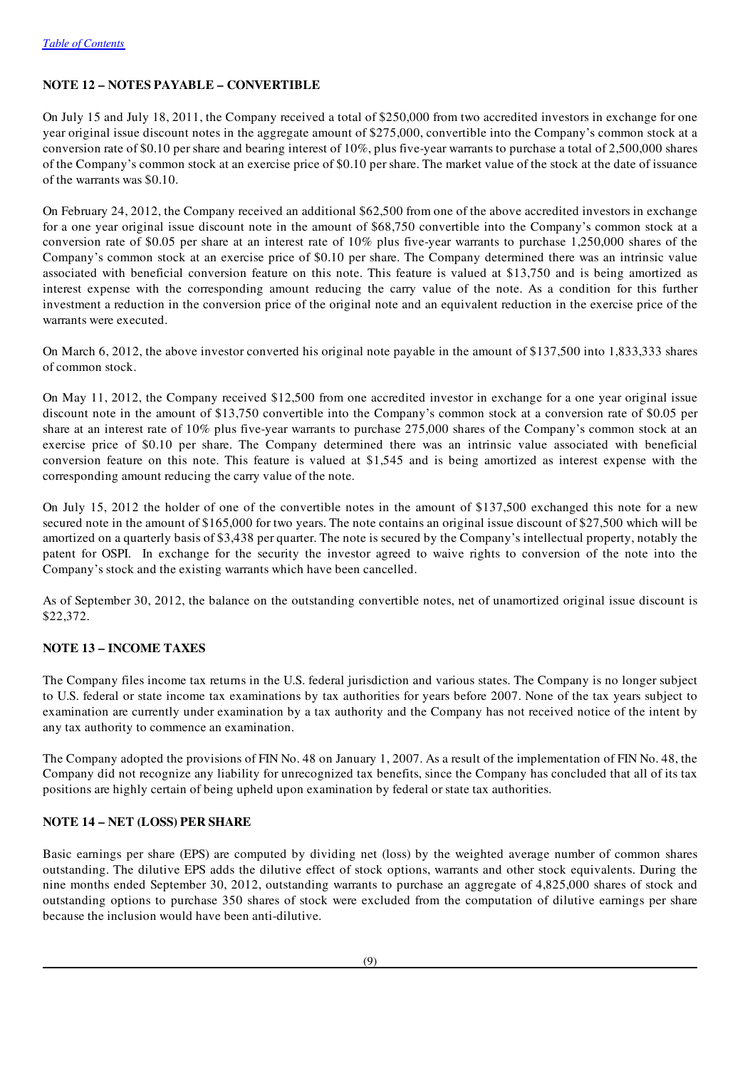# NOTE 12 – NOTES PAYABLE – CONVERTIBLE

On July 15 and July 18, 2011, the Company received a total of \$250,000 from two accredited investors in exchange for one year original issue discount notes in the aggregate amount of \$275,000, convertible into the Company's common stock at a conversion rate of \$0.10 per share and bearing interest of 10%, plus five-year warrants to purchase a total of 2,500,000 shares of the Company's common stock at an exercise price of \$0.10 per share. The market value of the stock at the date of issuance of the warrants was \$0.10.

On February 24, 2012, the Company received an additional \$62,500 from one of the above accredited investors in exchange for a one year original issue discount note in the amount of \$68,750 convertible into the Company's common stock at a conversion rate of \$0.05 per share at an interest rate of 10% plus five-year warrants to purchase 1,250,000 shares of the Company's common stock at an exercise price of \$0.10 per share. The Company determined there was an intrinsic value associated with beneficial conversion feature on this note. This feature is valued at \$13,750 and is being amortized as interest expense with the corresponding amount reducing the carry value of the note. As a condition for this further investment a reduction in the conversion price of the original note and an equivalent reduction in the exercise price of the warrants were executed.

On March 6, 2012, the above investor converted his original note payable in the amount of \$137,500 into 1,833,333 shares of common stock.

On May 11, 2012, the Company received \$12,500 from one accredited investor in exchange for a one year original issue discount note in the amount of \$13,750 convertible into the Company's common stock at a conversion rate of \$0.05 per share at an interest rate of 10% plus five-year warrants to purchase 275,000 shares of the Company's common stock at an exercise price of \$0.10 per share. The Company determined there was an intrinsic value associated with beneficial conversion feature on this note. This feature is valued at \$1,545 and is being amortized as interest expense with the corresponding amount reducing the carry value of the note.

On July 15, 2012 the holder of one of the convertible notes in the amount of \$137,500 exchanged this note for a new secured note in the amount of \$165,000 for two years. The note contains an original issue discount of \$27,500 which will be amortized on a quarterly basis of \$3,438 per quarter. The note is secured by the Company's intellectual property, notably the patent for OSPI. In exchange for the security the investor agreed to waive rights to conversion of the note into the Company's stock and the existing warrants which have been cancelled.

As of September 30, 2012, the balance on the outstanding convertible notes, net of unamortized original issue discount is \$22,372.

## NOTE 13 – INCOME TAXES

The Company files income tax returns in the U.S. federal jurisdiction and various states. The Company is no longer subject to U.S. federal or state income tax examinations by tax authorities for years before 2007. None of the tax years subject to examination are currently under examination by a tax authority and the Company has not received notice of the intent by any tax authority to commence an examination.

The Company adopted the provisions of FIN No. 48 on January 1, 2007. As a result of the implementation of FIN No. 48, the Company did not recognize any liability for unrecognized tax benefits, since the Company has concluded that all of its tax positions are highly certain of being upheld upon examination by federal or state tax authorities.

## NOTE 14 – NET (LOSS) PER SHARE

Basic earnings per share (EPS) are computed by dividing net (loss) by the weighted average number of common shares outstanding. The dilutive EPS adds the dilutive effect of stock options, warrants and other stock equivalents. During the nine months ended September 30, 2012, outstanding warrants to purchase an aggregate of 4,825,000 shares of stock and outstanding options to purchase 350 shares of stock were excluded from the computation of dilutive earnings per share because the inclusion would have been anti-dilutive.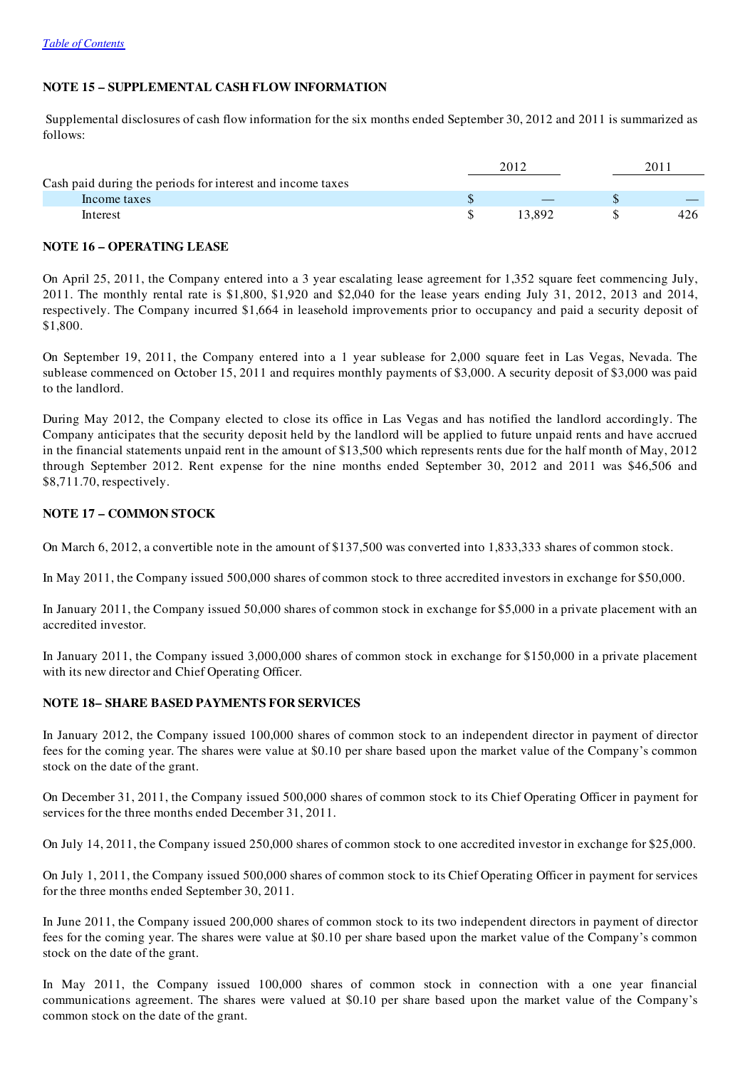# NOTE 15 – SUPPLEMENTAL CASH FLOW INFORMATION

Supplemental disclosures of cash flow information for the six months ended September 30, 2012 and 2011 is summarized as follows:

|                                                            | 2012  |     |
|------------------------------------------------------------|-------|-----|
| Cash paid during the periods for interest and income taxes |       |     |
| Income taxes                                               |       |     |
| Interest                                                   | 3.892 | 426 |

## NOTE 16 – OPERATING LEASE

On April 25, 2011, the Company entered into a 3 year escalating lease agreement for 1,352 square feet commencing July, 2011. The monthly rental rate is \$1,800, \$1,920 and \$2,040 for the lease years ending July 31, 2012, 2013 and 2014, respectively. The Company incurred \$1,664 in leasehold improvements prior to occupancy and paid a security deposit of \$1,800.

On September 19, 2011, the Company entered into a 1 year sublease for 2,000 square feet in Las Vegas, Nevada. The sublease commenced on October 15, 2011 and requires monthly payments of \$3,000. A security deposit of \$3,000 was paid to the landlord.

During May 2012, the Company elected to close its office in Las Vegas and has notified the landlord accordingly. The Company anticipates that the security deposit held by the landlord will be applied to future unpaid rents and have accrued in the financial statements unpaid rent in the amount of \$13,500 which represents rents due for the half month of May, 2012 through September 2012. Rent expense for the nine months ended September 30, 2012 and 2011 was \$46,506 and \$8,711.70, respectively.

## NOTE 17 – COMMON STOCK

On March 6, 2012, a convertible note in the amount of \$137,500 was converted into 1,833,333 shares of common stock.

In May 2011, the Company issued 500,000 shares of common stock to three accredited investors in exchange for \$50,000.

In January 2011, the Company issued 50,000 shares of common stock in exchange for \$5,000 in a private placement with an accredited investor.

In January 2011, the Company issued 3,000,000 shares of common stock in exchange for \$150,000 in a private placement with its new director and Chief Operating Officer.

# NOTE 18– SHARE BASED PAYMENTS FOR SERVICES

In January 2012, the Company issued 100,000 shares of common stock to an independent director in payment of director fees for the coming year. The shares were value at \$0.10 per share based upon the market value of the Company's common stock on the date of the grant.

On December 31, 2011, the Company issued 500,000 shares of common stock to its Chief Operating Officer in payment for services for the three months ended December 31, 2011.

On July 14, 2011, the Company issued 250,000 shares of common stock to one accredited investor in exchange for \$25,000.

On July 1, 2011, the Company issued 500,000 shares of common stock to its Chief Operating Officer in payment for services for the three months ended September 30, 2011.

In June 2011, the Company issued 200,000 shares of common stock to its two independent directors in payment of director fees for the coming year. The shares were value at \$0.10 per share based upon the market value of the Company's common stock on the date of the grant.

In May 2011, the Company issued 100,000 shares of common stock in connection with a one year financial communications agreement. The shares were valued at \$0.10 per share based upon the market value of the Company's common stock on the date of the grant.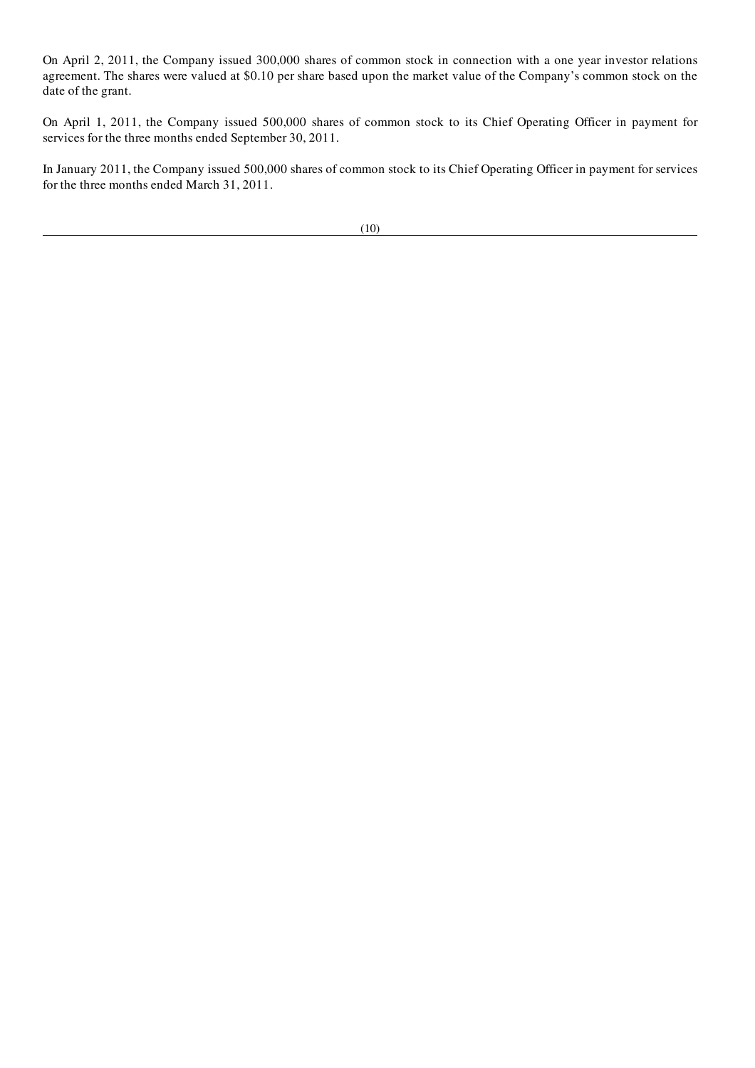On April 2, 2011, the Company issued 300,000 shares of common stock in connection with a one year investor relations agreement. The shares were valued at \$0.10 per share based upon the market value of the Company's common stock on the date of the grant.

On April 1, 2011, the Company issued 500,000 shares of common stock to its Chief Operating Officer in payment for services for the three months ended September 30, 2011.

In January 2011, the Company issued 500,000 shares of common stock to its Chief Operating Officer in payment for services for the three months ended March 31, 2011.

(10)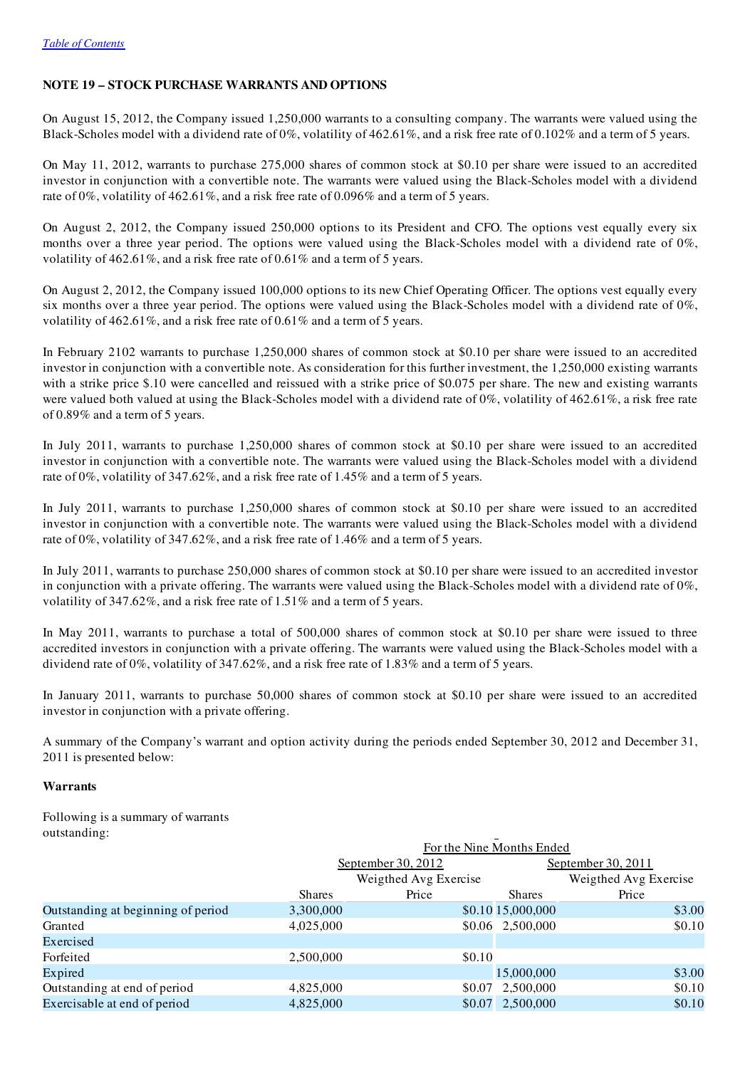## NOTE 19 – STOCK PURCHASE WARRANTS AND OPTIONS

On August 15, 2012, the Company issued 1,250,000 warrants to a consulting company. The warrants were valued using the Black-Scholes model with a dividend rate of 0%, volatility of 462.61%, and a risk free rate of 0.102% and a term of 5 years.

On May 11, 2012, warrants to purchase 275,000 shares of common stock at \$0.10 per share were issued to an accredited investor in conjunction with a convertible note. The warrants were valued using the Black-Scholes model with a dividend rate of 0%, volatility of 462.61%, and a risk free rate of 0.096% and a term of 5 years.

On August 2, 2012, the Company issued 250,000 options to its President and CFO. The options vest equally every six months over a three year period. The options were valued using the Black-Scholes model with a dividend rate of 0%, volatility of 462.61%, and a risk free rate of 0.61% and a term of 5 years.

On August 2, 2012, the Company issued 100,000 options to its new Chief Operating Officer. The options vest equally every six months over a three year period. The options were valued using the Black-Scholes model with a dividend rate of 0%, volatility of 462.61%, and a risk free rate of 0.61% and a term of 5 years.

In February 2102 warrants to purchase 1,250,000 shares of common stock at \$0.10 per share were issued to an accredited investor in conjunction with a convertible note. As consideration for this further investment, the 1,250,000 existing warrants with a strike price \$.10 were cancelled and reissued with a strike price of \$0.075 per share. The new and existing warrants were valued both valued at using the Black-Scholes model with a dividend rate of  $0\%$ , volatility of 462.61%, a risk free rate of 0.89% and a term of 5 years.

In July 2011, warrants to purchase 1,250,000 shares of common stock at \$0.10 per share were issued to an accredited investor in conjunction with a convertible note. The warrants were valued using the Black-Scholes model with a dividend rate of 0%, volatility of 347.62%, and a risk free rate of 1.45% and a term of 5 years.

In July 2011, warrants to purchase 1,250,000 shares of common stock at \$0.10 per share were issued to an accredited investor in conjunction with a convertible note. The warrants were valued using the Black-Scholes model with a dividend rate of 0%, volatility of 347.62%, and a risk free rate of 1.46% and a term of 5 years.

In July 2011, warrants to purchase 250,000 shares of common stock at \$0.10 per share were issued to an accredited investor in conjunction with a private offering. The warrants were valued using the Black-Scholes model with a dividend rate of 0%, volatility of 347.62%, and a risk free rate of 1.51% and a term of 5 years.

In May 2011, warrants to purchase a total of 500,000 shares of common stock at \$0.10 per share were issued to three accredited investors in conjunction with a private offering. The warrants were valued using the Black-Scholes model with a dividend rate of 0%, volatility of 347.62%, and a risk free rate of 1.83% and a term of 5 years.

In January 2011, warrants to purchase 50,000 shares of common stock at \$0.10 per share were issued to an accredited investor in conjunction with a private offering.

A summary of the Company's warrant and option activity during the periods ended September 30, 2012 and December 31, 2011 is presented below:

## Warrants

Following is a summary of warrants outstanding:

|                                    | For the Nine Months Ended |                       |                   |                       |  |  |
|------------------------------------|---------------------------|-----------------------|-------------------|-----------------------|--|--|
|                                    |                           | September 30, 2012    |                   | September 30, 2011    |  |  |
|                                    |                           | Weigthed Avg Exercise |                   | Weigthed Avg Exercise |  |  |
|                                    | <b>Shares</b>             | Price                 | <b>Shares</b>     | Price                 |  |  |
| Outstanding at beginning of period | 3,300,000                 |                       | \$0.10 15,000,000 | \$3.00                |  |  |
| Granted                            | 4,025,000                 |                       | \$0.06 2,500,000  | \$0.10                |  |  |
| Exercised                          |                           |                       |                   |                       |  |  |
| Forfeited                          | 2,500,000                 | \$0.10                |                   |                       |  |  |
| Expired                            |                           |                       | 15,000,000        | \$3.00                |  |  |
| Outstanding at end of period       | 4,825,000                 | \$0.07                | 2,500,000         | \$0.10                |  |  |
| Exercisable at end of period       | 4,825,000                 |                       | \$0.07 2,500,000  | \$0.10                |  |  |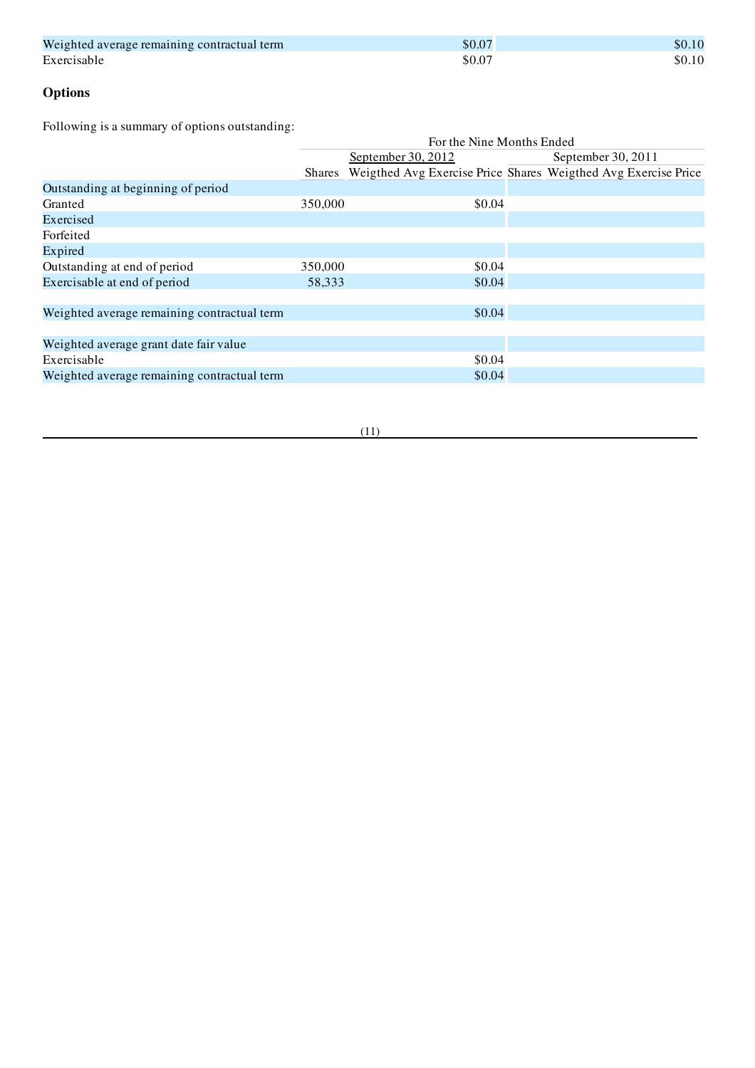| Weighted average remaining contractual term | \$0.07 | \$0.10 |
|---------------------------------------------|--------|--------|
| Exercisable                                 | \$0.07 | \$0.10 |

# **Options**

Following is a summary of options outstanding:

|                                             | For the Nine Months Ended |                    |                                                                |  |  |
|---------------------------------------------|---------------------------|--------------------|----------------------------------------------------------------|--|--|
|                                             |                           | September 30, 2012 | September 30, 2011                                             |  |  |
|                                             | <b>Shares</b>             |                    | Weigthed Avg Exercise Price Shares Weigthed Avg Exercise Price |  |  |
| Outstanding at beginning of period          |                           |                    |                                                                |  |  |
| Granted                                     | 350,000                   | \$0.04             |                                                                |  |  |
| Exercised                                   |                           |                    |                                                                |  |  |
| Forfeited                                   |                           |                    |                                                                |  |  |
| Expired                                     |                           |                    |                                                                |  |  |
| Outstanding at end of period                | 350,000                   | \$0.04             |                                                                |  |  |
| Exercisable at end of period                | 58,333                    | \$0.04             |                                                                |  |  |
|                                             |                           |                    |                                                                |  |  |
| Weighted average remaining contractual term |                           | \$0.04             |                                                                |  |  |
|                                             |                           |                    |                                                                |  |  |
| Weighted average grant date fair value      |                           |                    |                                                                |  |  |
| Exercisable                                 |                           | \$0.04             |                                                                |  |  |
| Weighted average remaining contractual term |                           | \$0.04             |                                                                |  |  |

(11)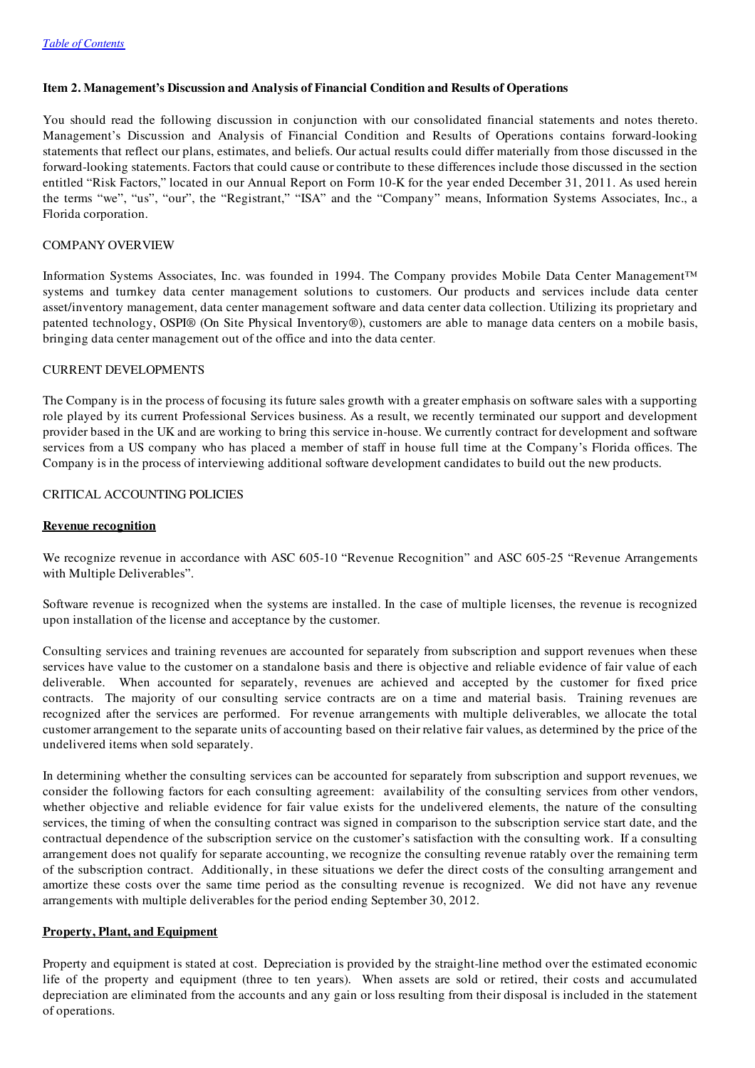## Item 2. Management's Discussion and Analysis of Financial Condition and Results of Operations

You should read the following discussion in conjunction with our consolidated financial statements and notes thereto. Management's Discussion and Analysis of Financial Condition and Results of Operations contains forward-looking statements that reflect our plans, estimates, and beliefs. Our actual results could differ materially from those discussed in the forward-looking statements. Factors that could cause or contribute to these differences include those discussed in the section entitled "Risk Factors," located in our Annual Report on Form 10-K for the year ended December 31, 2011. As used herein the terms "we", "us", "our", the "Registrant," "ISA" and the "Company" means, Information Systems Associates, Inc., a Florida corporation.

#### COMPANY OVERVIEW

Information Systems Associates, Inc. was founded in 1994. The Company provides Mobile Data Center Management™ systems and turnkey data center management solutions to customers. Our products and services include data center asset/inventory management, data center management software and data center data collection. Utilizing its proprietary and patented technology, OSPI® (On Site Physical Inventory®), customers are able to manage data centers on a mobile basis, bringing data center management out of the office and into the data center.

#### CURRENT DEVELOPMENTS

The Company is in the process of focusing its future sales growth with a greater emphasis on software sales with a supporting role played by its current Professional Services business. As a result, we recently terminated our support and development provider based in the UK and are working to bring this service in-house. We currently contract for development and software services from a US company who has placed a member of staff in house full time at the Company's Florida offices. The Company is in the process of interviewing additional software development candidates to build out the new products.

### CRITICAL ACCOUNTING POLICIES

#### Revenue recognition

We recognize revenue in accordance with ASC 605-10 "Revenue Recognition" and ASC 605-25 "Revenue Arrangements with Multiple Deliverables".

Software revenue is recognized when the systems are installed. In the case of multiple licenses, the revenue is recognized upon installation of the license and acceptance by the customer.

Consulting services and training revenues are accounted for separately from subscription and support revenues when these services have value to the customer on a standalone basis and there is objective and reliable evidence of fair value of each deliverable. When accounted for separately, revenues are achieved and accepted by the customer for fixed price contracts. The majority of our consulting service contracts are on a time and material basis. Training revenues are recognized after the services are performed. For revenue arrangements with multiple deliverables, we allocate the total customer arrangement to the separate units of accounting based on their relative fair values, as determined by the price of the undelivered items when sold separately.

In determining whether the consulting services can be accounted for separately from subscription and support revenues, we consider the following factors for each consulting agreement: availability of the consulting services from other vendors, whether objective and reliable evidence for fair value exists for the undelivered elements, the nature of the consulting services, the timing of when the consulting contract was signed in comparison to the subscription service start date, and the contractual dependence of the subscription service on the customer's satisfaction with the consulting work. If a consulting arrangement does not qualify for separate accounting, we recognize the consulting revenue ratably over the remaining term of the subscription contract. Additionally, in these situations we defer the direct costs of the consulting arrangement and amortize these costs over the same time period as the consulting revenue is recognized. We did not have any revenue arrangements with multiple deliverables for the period ending September 30, 2012.

#### Property, Plant, and Equipment

Property and equipment is stated at cost. Depreciation is provided by the straight-line method over the estimated economic life of the property and equipment (three to ten years). When assets are sold or retired, their costs and accumulated depreciation are eliminated from the accounts and any gain or loss resulting from their disposal is included in the statement of operations.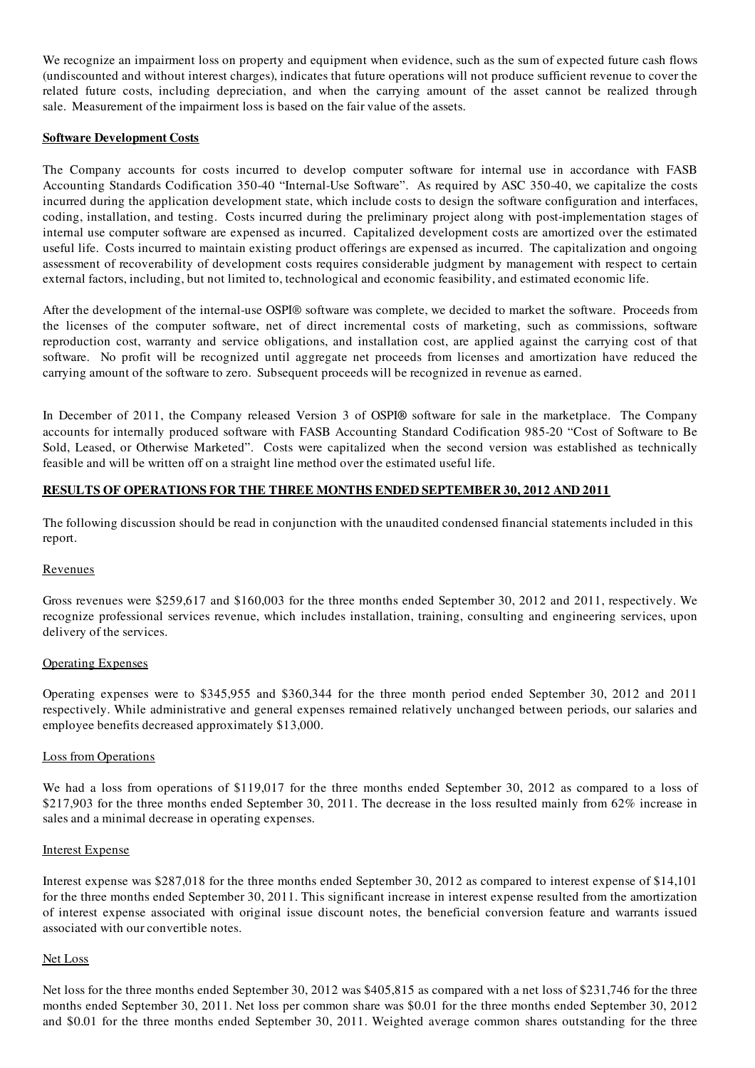We recognize an impairment loss on property and equipment when evidence, such as the sum of expected future cash flows (undiscounted and without interest charges), indicates that future operations will not produce sufficient revenue to cover the related future costs, including depreciation, and when the carrying amount of the asset cannot be realized through sale. Measurement of the impairment loss is based on the fair value of the assets.

### Software Development Costs

The Company accounts for costs incurred to develop computer software for internal use in accordance with FASB Accounting Standards Codification 350-40 "Internal-Use Software". As required by ASC 350-40, we capitalize the costs incurred during the application development state, which include costs to design the software configuration and interfaces, coding, installation, and testing. Costs incurred during the preliminary project along with post-implementation stages of internal use computer software are expensed as incurred. Capitalized development costs are amortized over the estimated useful life. Costs incurred to maintain existing product offerings are expensed as incurred. The capitalization and ongoing assessment of recoverability of development costs requires considerable judgment by management with respect to certain external factors, including, but not limited to, technological and economic feasibility, and estimated economic life.

After the development of the internal-use OSPI® software was complete, we decided to market the software. Proceeds from the licenses of the computer software, net of direct incremental costs of marketing, such as commissions, software reproduction cost, warranty and service obligations, and installation cost, are applied against the carrying cost of that software. No profit will be recognized until aggregate net proceeds from licenses and amortization have reduced the carrying amount of the software to zero. Subsequent proceeds will be recognized in revenue as earned.

In December of 2011, the Company released Version 3 of OSPI® software for sale in the marketplace. The Company accounts for internally produced software with FASB Accounting Standard Codification 985-20 "Cost of Software to Be Sold, Leased, or Otherwise Marketed". Costs were capitalized when the second version was established as technically feasible and will be written off on a straight line method over the estimated useful life.

## RESULTS OF OPERATIONS FOR THE THREE MONTHS ENDED SEPTEMBER 30, 2012 AND 2011

The following discussion should be read in conjunction with the unaudited condensed financial statements included in this report.

#### Revenues

Gross revenues were \$259,617 and \$160,003 for the three months ended September 30, 2012 and 2011, respectively. We recognize professional services revenue, which includes installation, training, consulting and engineering services, upon delivery of the services.

#### Operating Expenses

Operating expenses were to \$345,955 and \$360,344 for the three month period ended September 30, 2012 and 2011 respectively. While administrative and general expenses remained relatively unchanged between periods, our salaries and employee benefits decreased approximately \$13,000.

#### Loss from Operations

We had a loss from operations of \$119,017 for the three months ended September 30, 2012 as compared to a loss of \$217,903 for the three months ended September 30, 2011. The decrease in the loss resulted mainly from 62% increase in sales and a minimal decrease in operating expenses.

#### Interest Expense

Interest expense was \$287,018 for the three months ended September 30, 2012 as compared to interest expense of \$14,101 for the three months ended September 30, 2011. This significant increase in interest expense resulted from the amortization of interest expense associated with original issue discount notes, the beneficial conversion feature and warrants issued associated with our convertible notes.

#### Net Loss

Net loss for the three months ended September 30, 2012 was \$405,815 as compared with a net loss of \$231,746 for the three months ended September 30, 2011. Net loss per common share was \$0.01 for the three months ended September 30, 2012 and \$0.01 for the three months ended September 30, 2011. Weighted average common shares outstanding for the three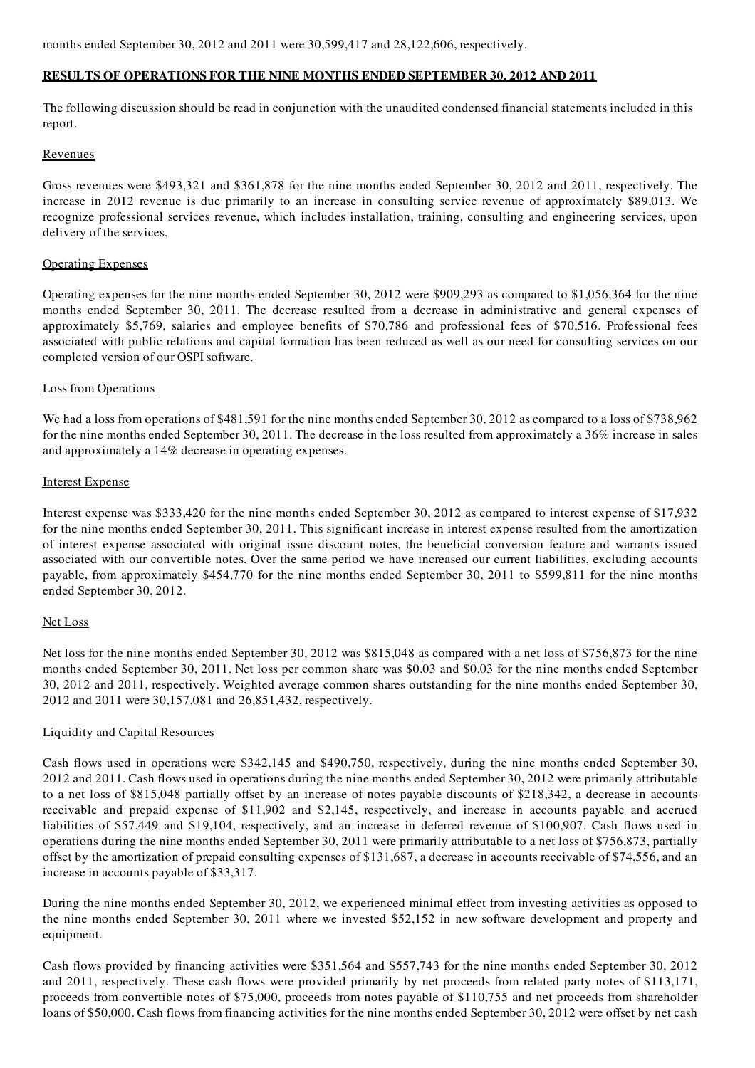months ended September 30, 2012 and 2011 were 30,599,417 and 28,122,606, respectively.

## RESULTS OF OPERATIONS FOR THE NINE MONTHS ENDED SEPTEMBER 30, 2012 AND 2011

The following discussion should be read in conjunction with the unaudited condensed financial statements included in this report.

#### **Revenues**

Gross revenues were \$493,321 and \$361,878 for the nine months ended September 30, 2012 and 2011, respectively. The increase in 2012 revenue is due primarily to an increase in consulting service revenue of approximately \$89,013. We recognize professional services revenue, which includes installation, training, consulting and engineering services, upon delivery of the services.

## Operating Expenses

Operating expenses for the nine months ended September 30, 2012 were \$909,293 as compared to \$1,056,364 for the nine months ended September 30, 2011. The decrease resulted from a decrease in administrative and general expenses of approximately \$5,769, salaries and employee benefits of \$70,786 and professional fees of \$70,516. Professional fees associated with public relations and capital formation has been reduced as well as our need for consulting services on our completed version of our OSPI software.

## Loss from Operations

We had a loss from operations of \$481,591 for the nine months ended September 30, 2012 as compared to a loss of \$738,962 for the nine months ended September 30, 2011. The decrease in the loss resulted from approximately a 36% increase in sales and approximately a 14% decrease in operating expenses.

## Interest Expense

Interest expense was \$333,420 for the nine months ended September 30, 2012 as compared to interest expense of \$17,932 for the nine months ended September 30, 2011. This significant increase in interest expense resulted from the amortization of interest expense associated with original issue discount notes, the beneficial conversion feature and warrants issued associated with our convertible notes. Over the same period we have increased our current liabilities, excluding accounts payable, from approximately \$454,770 for the nine months ended September 30, 2011 to \$599,811 for the nine months ended September 30, 2012.

## Net Loss

Net loss for the nine months ended September 30, 2012 was \$815,048 as compared with a net loss of \$756,873 for the nine months ended September 30, 2011. Net loss per common share was \$0.03 and \$0.03 for the nine months ended September 30, 2012 and 2011, respectively. Weighted average common shares outstanding for the nine months ended September 30, 2012 and 2011 were 30,157,081 and 26,851,432, respectively.

## Liquidity and Capital Resources

Cash flows used in operations were \$342,145 and \$490,750, respectively, during the nine months ended September 30, 2012 and 2011. Cash flows used in operations during the nine months ended September 30, 2012 were primarily attributable to a net loss of \$815,048 partially offset by an increase of notes payable discounts of \$218,342, a decrease in accounts receivable and prepaid expense of \$11,902 and \$2,145, respectively, and increase in accounts payable and accrued liabilities of \$57,449 and \$19,104, respectively, and an increase in deferred revenue of \$100,907. Cash flows used in operations during the nine months ended September 30, 2011 were primarily attributable to a net loss of \$756,873, partially offset by the amortization of prepaid consulting expenses of \$131,687, a decrease in accounts receivable of \$74,556, and an increase in accounts payable of \$33,317.

During the nine months ended September 30, 2012, we experienced minimal effect from investing activities as opposed to the nine months ended September 30, 2011 where we invested \$52,152 in new software development and property and equipment.

Cash flows provided by financing activities were \$351,564 and \$557,743 for the nine months ended September 30, 2012 and 2011, respectively. These cash flows were provided primarily by net proceeds from related party notes of \$113,171, proceeds from convertible notes of \$75,000, proceeds from notes payable of \$110,755 and net proceeds from shareholder loans of \$50,000. Cash flows from financing activities for the nine months ended September 30, 2012 were offset by net cash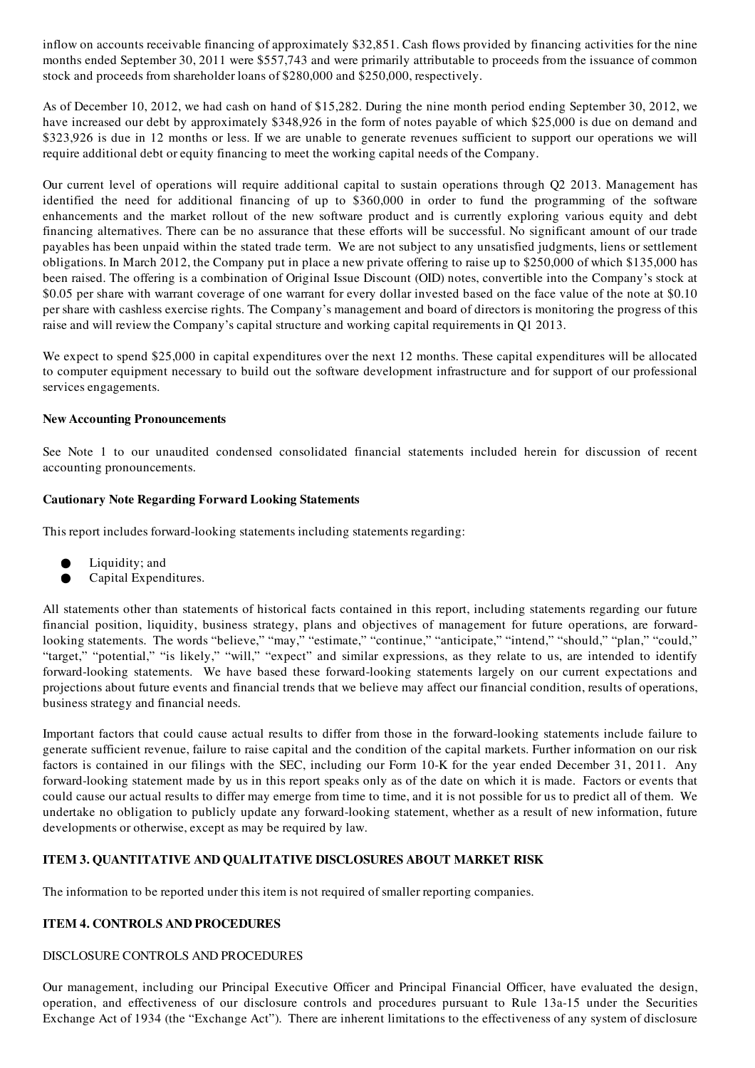inflow on accounts receivable financing of approximately \$32,851. Cash flows provided by financing activities for the nine months ended September 30, 2011 were \$557,743 and were primarily attributable to proceeds from the issuance of common stock and proceeds from shareholder loans of \$280,000 and \$250,000, respectively.

As of December 10, 2012, we had cash on hand of \$15,282. During the nine month period ending September 30, 2012, we have increased our debt by approximately \$348,926 in the form of notes payable of which \$25,000 is due on demand and \$323,926 is due in 12 months or less. If we are unable to generate revenues sufficient to support our operations we will require additional debt or equity financing to meet the working capital needs of the Company.

Our current level of operations will require additional capital to sustain operations through Q2 2013. Management has identified the need for additional financing of up to \$360,000 in order to fund the programming of the software enhancements and the market rollout of the new software product and is currently exploring various equity and debt financing alternatives. There can be no assurance that these efforts will be successful. No significant amount of our trade payables has been unpaid within the stated trade term. We are not subject to any unsatisfied judgments, liens or settlement obligations. In March 2012, the Company put in place a new private offering to raise up to \$250,000 of which \$135,000 has been raised. The offering is a combination of Original Issue Discount (OID) notes, convertible into the Company's stock at \$0.05 per share with warrant coverage of one warrant for every dollar invested based on the face value of the note at \$0.10 per share with cashless exercise rights. The Company's management and board of directors is monitoring the progress of this raise and will review the Company's capital structure and working capital requirements in Q1 2013.

We expect to spend \$25,000 in capital expenditures over the next 12 months. These capital expenditures will be allocated to computer equipment necessary to build out the software development infrastructure and for support of our professional services engagements.

## New Accounting Pronouncements

See Note 1 to our unaudited condensed consolidated financial statements included herein for discussion of recent accounting pronouncements.

#### Cautionary Note Regarding Forward Looking Statements

This report includes forward-looking statements including statements regarding:

- Liquidity; and
- Capital Expenditures.

All statements other than statements of historical facts contained in this report, including statements regarding our future financial position, liquidity, business strategy, plans and objectives of management for future operations, are forwardlooking statements. The words "believe," "may," "estimate," "continue," "anticipate," "intend," "should," "plan," "could," "target," "potential," "is likely," "will," "expect" and similar expressions, as they relate to us, are intended to identify forward-looking statements. We have based these forward-looking statements largely on our current expectations and projections about future events and financial trends that we believe may affect our financial condition, results of operations, business strategy and financial needs.

Important factors that could cause actual results to differ from those in the forward-looking statements include failure to generate sufficient revenue, failure to raise capital and the condition of the capital markets. Further information on our risk factors is contained in our filings with the SEC, including our Form 10-K for the year ended December 31, 2011. Any forward-looking statement made by us in this report speaks only as of the date on which it is made. Factors or events that could cause our actual results to differ may emerge from time to time, and it is not possible for us to predict all of them. We undertake no obligation to publicly update any forward-looking statement, whether as a result of new information, future developments or otherwise, except as may be required by law.

## ITEM 3. QUANTITATIVE AND QUALITATIVE DISCLOSURES ABOUT MARKET RISK

The information to be reported under this item is not required of smaller reporting companies.

## ITEM 4. CONTROLS AND PROCEDURES

## DISCLOSURE CONTROLS AND PROCEDURES

Our management, including our Principal Executive Officer and Principal Financial Officer, have evaluated the design, operation, and effectiveness of our disclosure controls and procedures pursuant to Rule 13a-15 under the Securities Exchange Act of 1934 (the "Exchange Act"). There are inherent limitations to the effectiveness of any system of disclosure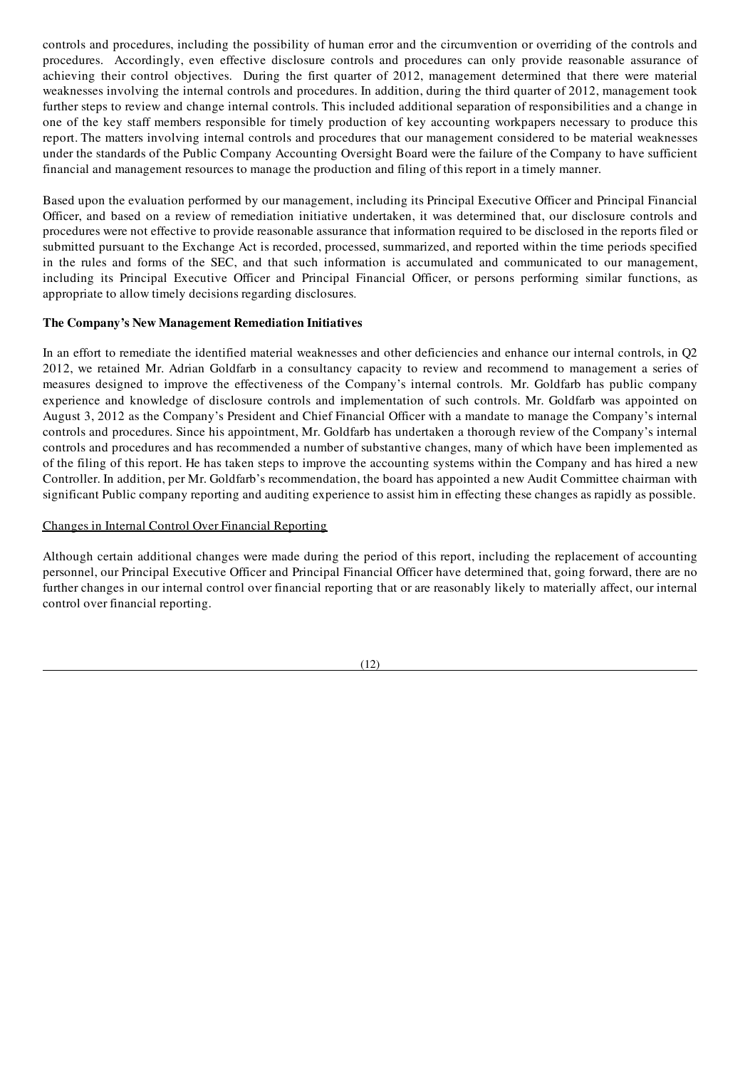controls and procedures, including the possibility of human error and the circumvention or overriding of the controls and procedures. Accordingly, even effective disclosure controls and procedures can only provide reasonable assurance of achieving their control objectives. During the first quarter of 2012, management determined that there were material weaknesses involving the internal controls and procedures. In addition, during the third quarter of 2012, management took further steps to review and change internal controls. This included additional separation of responsibilities and a change in one of the key staff members responsible for timely production of key accounting workpapers necessary to produce this report. The matters involving internal controls and procedures that our management considered to be material weaknesses under the standards of the Public Company Accounting Oversight Board were the failure of the Company to have sufficient financial and management resources to manage the production and filing of this report in a timely manner.

Based upon the evaluation performed by our management, including its Principal Executive Officer and Principal Financial Officer, and based on a review of remediation initiative undertaken, it was determined that, our disclosure controls and procedures were not effective to provide reasonable assurance that information required to be disclosed in the reports filed or submitted pursuant to the Exchange Act is recorded, processed, summarized, and reported within the time periods specified in the rules and forms of the SEC, and that such information is accumulated and communicated to our management, including its Principal Executive Officer and Principal Financial Officer, or persons performing similar functions, as appropriate to allow timely decisions regarding disclosures.

#### The Company's New Management Remediation Initiatives

In an effort to remediate the identified material weaknesses and other deficiencies and enhance our internal controls, in Q2 2012, we retained Mr. Adrian Goldfarb in a consultancy capacity to review and recommend to management a series of measures designed to improve the effectiveness of the Company's internal controls. Mr. Goldfarb has public company experience and knowledge of disclosure controls and implementation of such controls. Mr. Goldfarb was appointed on August 3, 2012 as the Company's President and Chief Financial Officer with a mandate to manage the Company's internal controls and procedures. Since his appointment, Mr. Goldfarb has undertaken a thorough review of the Company's internal controls and procedures and has recommended a number of substantive changes, many of which have been implemented as of the filing of this report. He has taken steps to improve the accounting systems within the Company and has hired a new Controller. In addition, per Mr. Goldfarb's recommendation, the board has appointed a new Audit Committee chairman with significant Public company reporting and auditing experience to assist him in effecting these changes as rapidly as possible.

#### Changes in Internal Control Over Financial Reporting

Although certain additional changes were made during the period of this report, including the replacement of accounting personnel, our Principal Executive Officer and Principal Financial Officer have determined that, going forward, there are no further changes in our internal control over financial reporting that or are reasonably likely to materially affect, our internal control over financial reporting.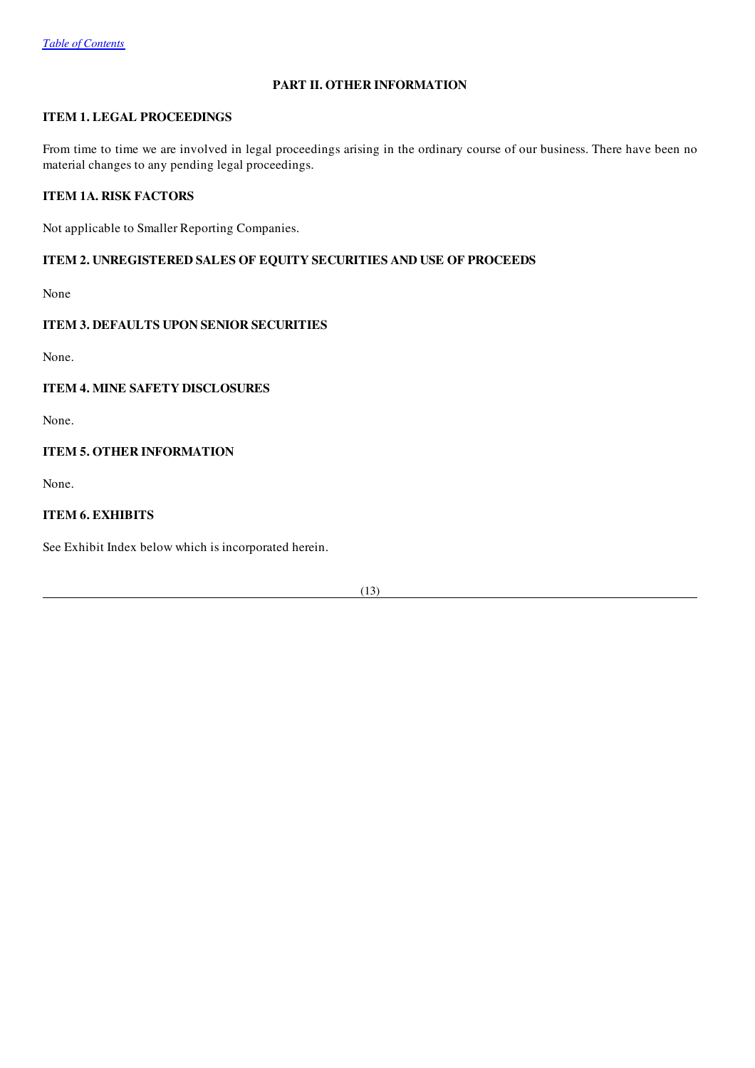# PART II. OTHER INFORMATION

# ITEM 1. LEGAL PROCEEDINGS

From time to time we are involved in legal proceedings arising in the ordinary course of our business. There have been no material changes to any pending legal proceedings.

## ITEM 1A. RISK FACTORS

Not applicable to Smaller Reporting Companies.

## ITEM 2. UNREGISTERED SALES OF EQUITY SECURITIES AND USE OF PROCEEDS

None

## ITEM 3. DEFAULTS UPON SENIOR SECURITIES

None.

## ITEM 4. MINE SAFETY DISCLOSURES

None.

## ITEM 5. OTHER INFORMATION

None.

# ITEM 6. EXHIBITS

See Exhibit Index below which is incorporated herein.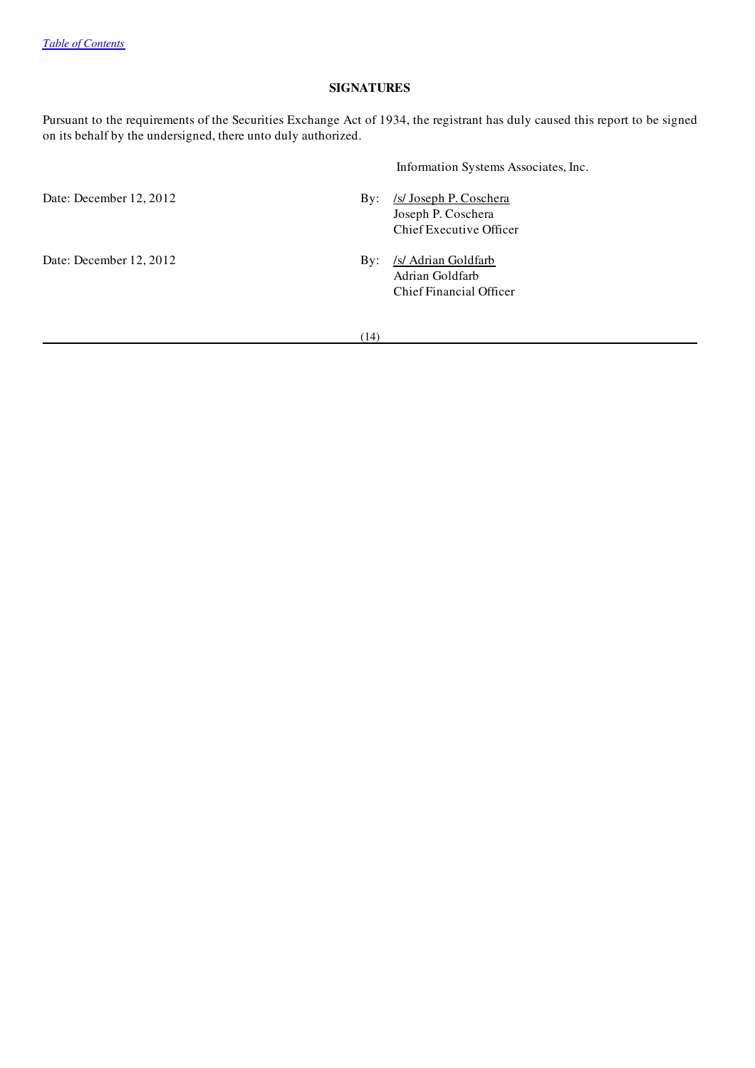## SIGNATURES

Pursuant to the requirements of the Securities Exchange Act of 1934, the registrant has duly caused this report to be signed on its behalf by the undersigned, there unto duly authorized.

|                         |            | Information Systems Associates, Inc.                                    |  |  |  |
|-------------------------|------------|-------------------------------------------------------------------------|--|--|--|
| Date: December 12, 2012 | By:        | /s/ Joseph P. Coschera<br>Joseph P. Coschera<br>Chief Executive Officer |  |  |  |
| Date: December 12, 2012 | $\rm\,By:$ | /s/ Adrian Goldfarb<br>Adrian Goldfarb<br>Chief Financial Officer       |  |  |  |

 $(14)$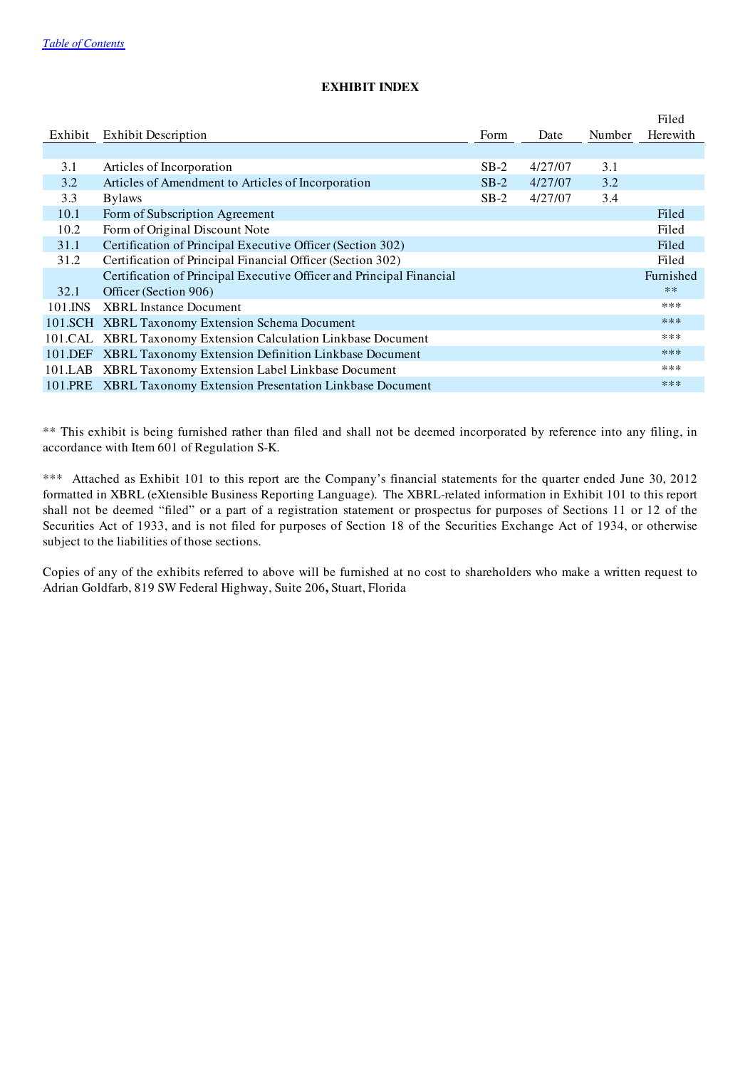|         |                                                                      |        |         |        | Filed     |
|---------|----------------------------------------------------------------------|--------|---------|--------|-----------|
| Exhibit | <b>Exhibit Description</b>                                           | Form   | Date    | Number | Herewith  |
|         |                                                                      |        |         |        |           |
| 3.1     | Articles of Incorporation                                            | $SB-2$ | 4/27/07 | 3.1    |           |
| 3.2     | Articles of Amendment to Articles of Incorporation                   | $SB-2$ | 4/27/07 | 3.2    |           |
| 3.3     | <b>Bylaws</b>                                                        | $SB-2$ | 4/27/07 | 3.4    |           |
| 10.1    | Form of Subscription Agreement                                       |        |         |        | Filed     |
| 10.2    | Form of Original Discount Note                                       |        |         |        | Filed     |
| 31.1    | Certification of Principal Executive Officer (Section 302)           |        |         |        | Filed     |
| 31.2    | Certification of Principal Financial Officer (Section 302)           |        |         |        | Filed     |
|         | Certification of Principal Executive Officer and Principal Financial |        |         |        | Furnished |
| 32.1    | Officer (Section 906)                                                |        |         |        | $**$      |
| 101.INS | <b>XBRL</b> Instance Document                                        |        |         |        | ***       |
|         | 101.SCH XBRL Taxonomy Extension Schema Document                      |        |         |        | ***       |
|         | 101.CAL XBRL Taxonomy Extension Calculation Linkbase Document        |        |         |        | ***       |
|         | 101.DEF XBRL Taxonomy Extension Definition Linkbase Document         |        |         |        | $***$     |
|         | 101.LAB XBRL Taxonomy Extension Label Linkbase Document              |        |         |        | ***       |
|         | 101.PRE XBRL Taxonomy Extension Presentation Linkbase Document       |        |         |        | $***$     |

# EXHIBIT INDEX

\*\* This exhibit is being furnished rather than filed and shall not be deemed incorporated by reference into any filing, in accordance with Item 601 of Regulation S-K.

\*\*\* Attached as Exhibit 101 to this report are the Company's financial statements for the quarter ended June 30, 2012 formatted in XBRL (eXtensible Business Reporting Language). The XBRL-related information in Exhibit 101 to this report shall not be deemed "filed" or a part of a registration statement or prospectus for purposes of Sections 11 or 12 of the Securities Act of 1933, and is not filed for purposes of Section 18 of the Securities Exchange Act of 1934, or otherwise subject to the liabilities of those sections.

Copies of any of the exhibits referred to above will be furnished at no cost to shareholders who make a written request to Adrian Goldfarb, 819 SW Federal Highway, Suite 206, Stuart, Florida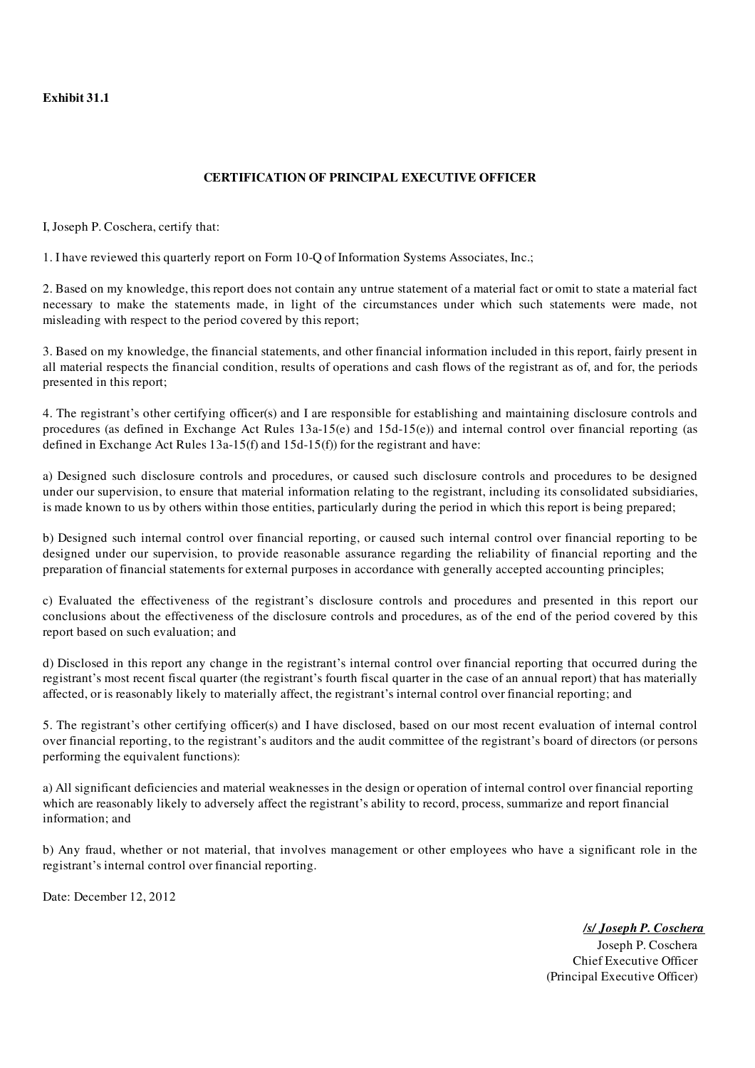Exhibit 31.1

# CERTIFICATION OF PRINCIPAL EXECUTIVE OFFICER

I, Joseph P. Coschera, certify that:

1. I have reviewed this quarterly report on Form 10-Q of Information Systems Associates, Inc.;

2. Based on my knowledge, this report does not contain any untrue statement of a material fact or omit to state a material fact necessary to make the statements made, in light of the circumstances under which such statements were made, not misleading with respect to the period covered by this report;

3. Based on my knowledge, the financial statements, and other financial information included in this report, fairly present in all material respects the financial condition, results of operations and cash flows of the registrant as of, and for, the periods presented in this report;

4. The registrant's other certifying officer(s) and I are responsible for establishing and maintaining disclosure controls and procedures (as defined in Exchange Act Rules 13a-15(e) and 15d-15(e)) and internal control over financial reporting (as defined in Exchange Act Rules 13a-15(f) and 15d-15(f)) for the registrant and have:

a) Designed such disclosure controls and procedures, or caused such disclosure controls and procedures to be designed under our supervision, to ensure that material information relating to the registrant, including its consolidated subsidiaries, is made known to us by others within those entities, particularly during the period in which this report is being prepared;

b) Designed such internal control over financial reporting, or caused such internal control over financial reporting to be designed under our supervision, to provide reasonable assurance regarding the reliability of financial reporting and the preparation of financial statements for external purposes in accordance with generally accepted accounting principles;

c) Evaluated the effectiveness of the registrant's disclosure controls and procedures and presented in this report our conclusions about the effectiveness of the disclosure controls and procedures, as of the end of the period covered by this report based on such evaluation; and

d) Disclosed in this report any change in the registrant's internal control over financial reporting that occurred during the registrant's most recent fiscal quarter (the registrant's fourth fiscal quarter in the case of an annual report) that has materially affected, or is reasonably likely to materially affect, the registrant's internal control over financial reporting; and

5. The registrant's other certifying officer(s) and I have disclosed, based on our most recent evaluation of internal control over financial reporting, to the registrant's auditors and the audit committee of the registrant's board of directors (or persons performing the equivalent functions):

a) All significant deficiencies and material weaknesses in the design or operation of internal control over financial reporting which are reasonably likely to adversely affect the registrant's ability to record, process, summarize and report financial information; and

b) Any fraud, whether or not material, that involves management or other employees who have a significant role in the registrant's internal control over financial reporting.

Date: December 12, 2012

*/s/ Joseph P. Coschera*

Joseph P. Coschera Chief Executive Officer (Principal Executive Officer)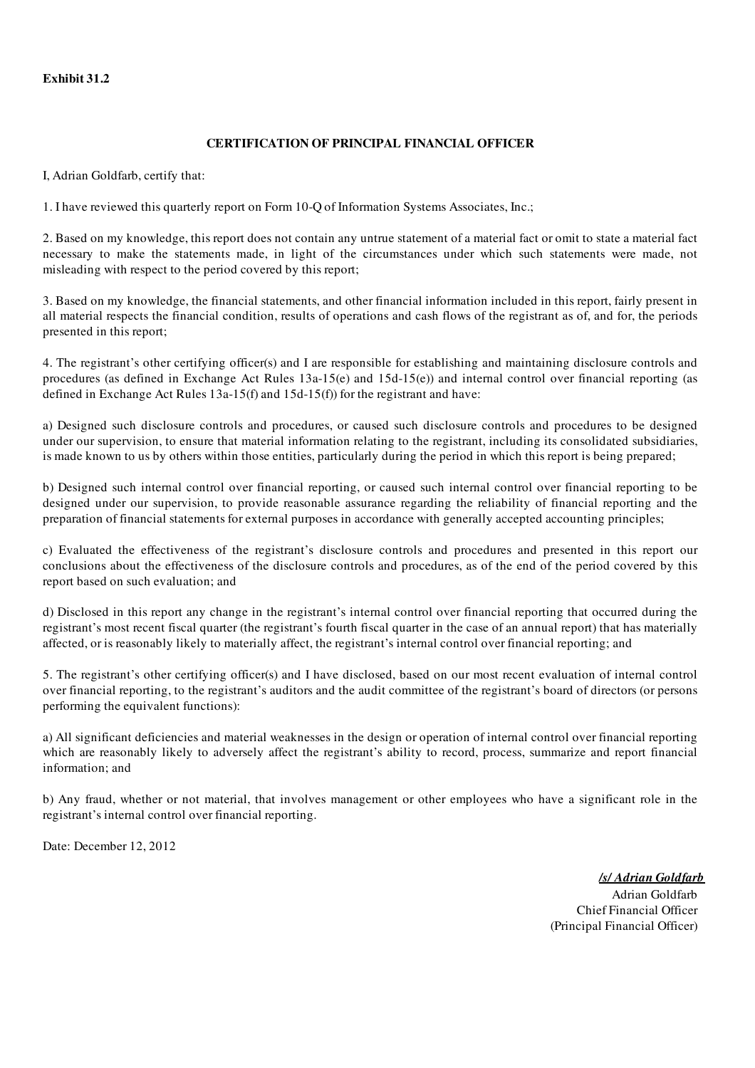## Exhibit 31.2

## CERTIFICATION OF PRINCIPAL FINANCIAL OFFICER

I, Adrian Goldfarb, certify that:

1. I have reviewed this quarterly report on Form 10-Q of Information Systems Associates, Inc.;

2. Based on my knowledge, this report does not contain any untrue statement of a material fact or omit to state a material fact necessary to make the statements made, in light of the circumstances under which such statements were made, not misleading with respect to the period covered by this report;

3. Based on my knowledge, the financial statements, and other financial information included in this report, fairly present in all material respects the financial condition, results of operations and cash flows of the registrant as of, and for, the periods presented in this report;

4. The registrant's other certifying officer(s) and I are responsible for establishing and maintaining disclosure controls and procedures (as defined in Exchange Act Rules 13a-15(e) and 15d-15(e)) and internal control over financial reporting (as defined in Exchange Act Rules 13a-15(f) and 15d-15(f)) for the registrant and have:

a) Designed such disclosure controls and procedures, or caused such disclosure controls and procedures to be designed under our supervision, to ensure that material information relating to the registrant, including its consolidated subsidiaries, is made known to us by others within those entities, particularly during the period in which this report is being prepared;

b) Designed such internal control over financial reporting, or caused such internal control over financial reporting to be designed under our supervision, to provide reasonable assurance regarding the reliability of financial reporting and the preparation of financial statements for external purposes in accordance with generally accepted accounting principles;

c) Evaluated the effectiveness of the registrant's disclosure controls and procedures and presented in this report our conclusions about the effectiveness of the disclosure controls and procedures, as of the end of the period covered by this report based on such evaluation; and

d) Disclosed in this report any change in the registrant's internal control over financial reporting that occurred during the registrant's most recent fiscal quarter (the registrant's fourth fiscal quarter in the case of an annual report) that has materially affected, or is reasonably likely to materially affect, the registrant's internal control over financial reporting; and

5. The registrant's other certifying officer(s) and I have disclosed, based on our most recent evaluation of internal control over financial reporting, to the registrant's auditors and the audit committee of the registrant's board of directors (or persons performing the equivalent functions):

a) All significant deficiencies and material weaknesses in the design or operation of internal control over financial reporting which are reasonably likely to adversely affect the registrant's ability to record, process, summarize and report financial information; and

b) Any fraud, whether or not material, that involves management or other employees who have a significant role in the registrant's internal control over financial reporting.

Date: December 12, 2012

*/s/ Adrian Goldfarb* Adrian Goldfarb Chief Financial Officer (Principal Financial Officer)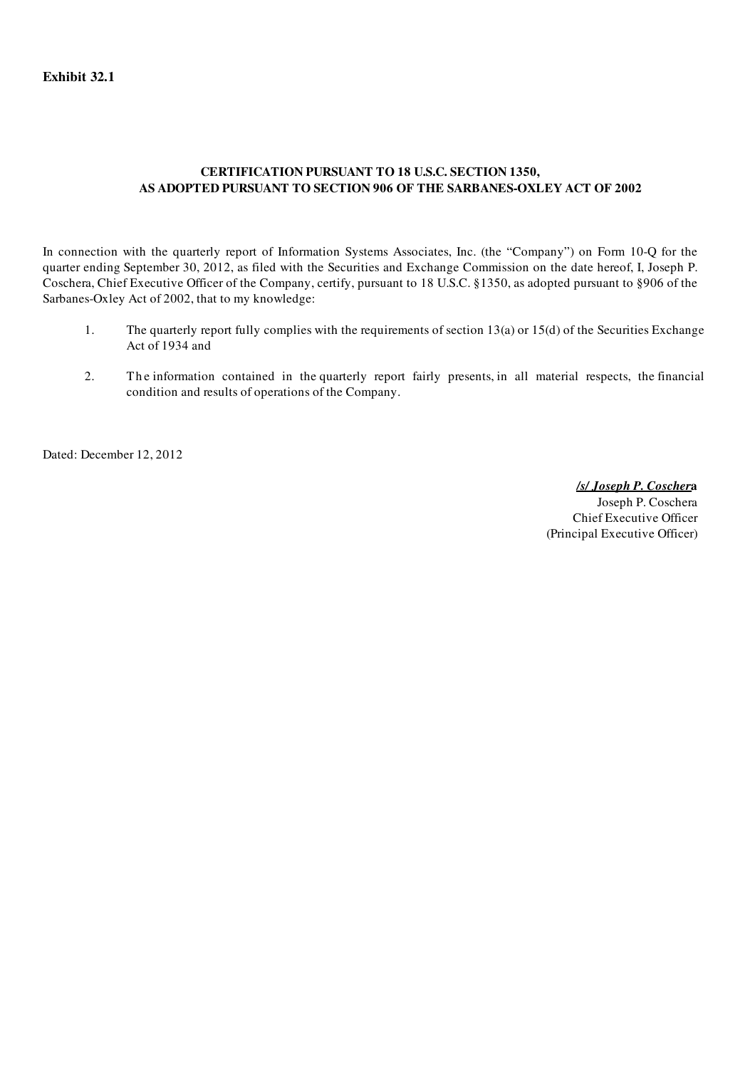# CERTIFICATION PURSUANT TO 18 U.S.C. SECTION 1350, AS ADOPTED PURSUANT TO SECTION 906 OF THE SARBANES-OXLEY ACT OF 2002

In connection with the quarterly report of Information Systems Associates, Inc. (the "Company") on Form 10-Q for the quarter ending September 30, 2012, as filed with the Securities and Exchange Commission on the date hereof, I, Joseph P. Coschera, Chief Executive Officer of the Company, certify, pursuant to 18 U.S.C. §1350, as adopted pursuant to §906 of the Sarbanes-Oxley Act of 2002, that to my knowledge:

- 1. The quarterly report fully complies with the requirements of section 13(a) or 15(d) of the Securities Exchange Act of 1934 and
- 2. The information contained in the quarterly report fairly presents, in all material respects, the financial condition and results of operations of the Company.

Dated: December 12, 2012

*/s/ Joseph P. Coscher*a

Joseph P. Coschera Chief Executive Officer (Principal Executive Officer)